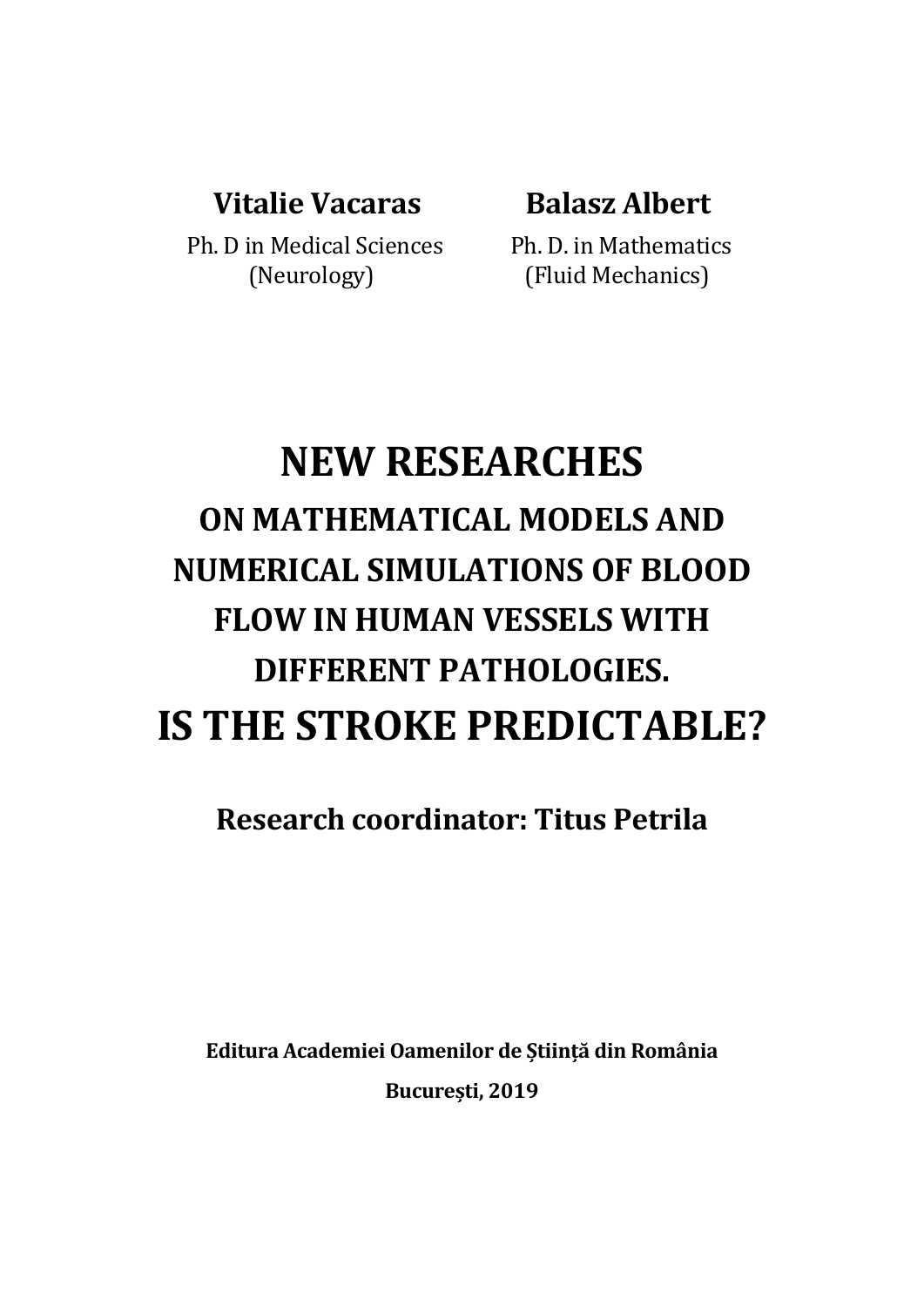## **Vitalie Vacaras Balasz Albert**

Ph. D in Medical Sciences Ph. D. in Mathematics

(Neurology) (Fluid Mechanics)

# **NEW RESEARCHES ON MATHEMATICAL MODELS AND NUMERICAL SIMULATIONS OF BLOOD FLOW IN HUMAN VESSELS WITH DIFFERENT PATHOLOGIES. IS THE STROKE PREDICTABLE?**

**Research coordinator: Titus Petrila**

**Editura Academiei Oamenilor de Știință din România București, 2019**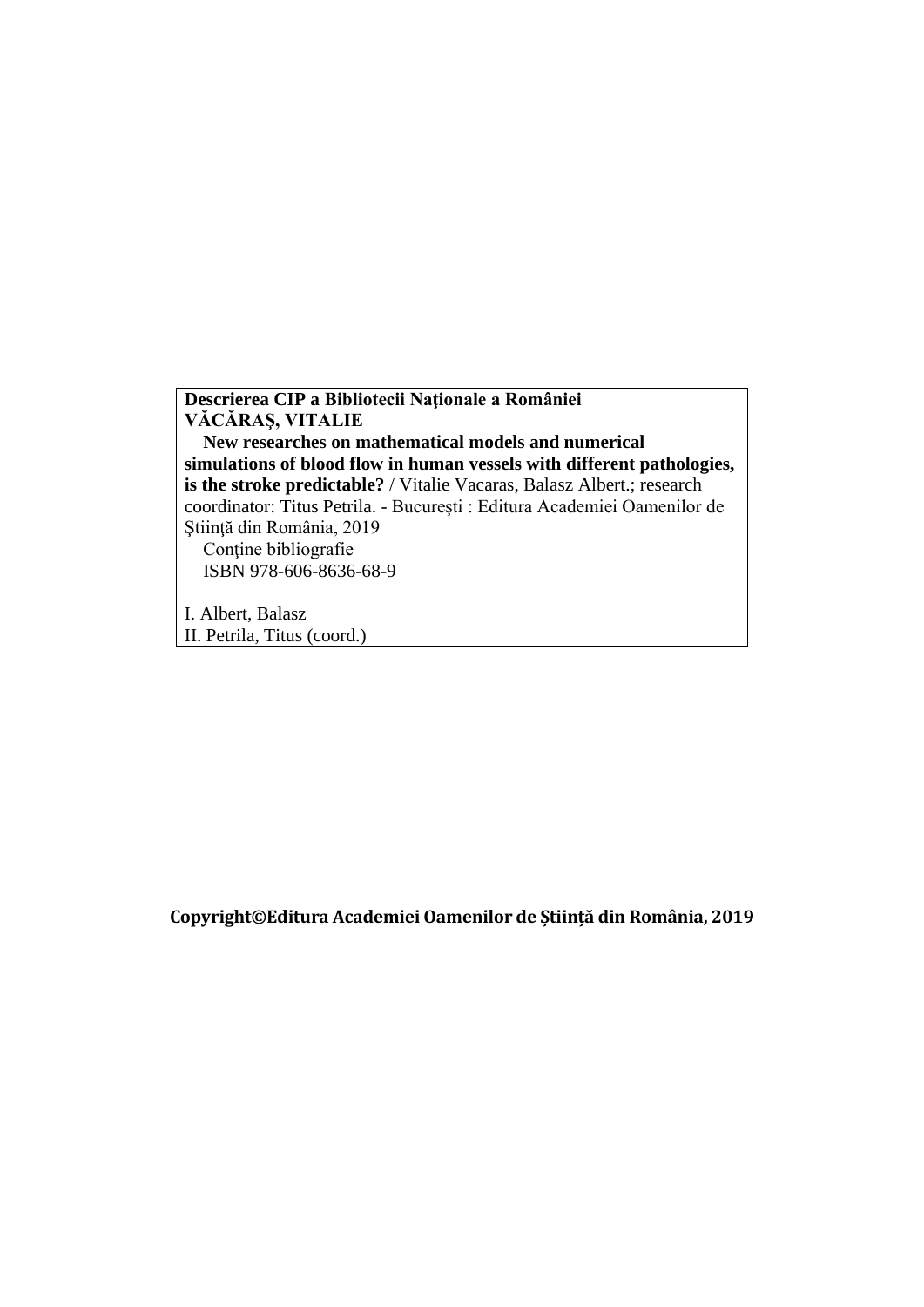**Descrierea CIP a Bibliotecii Naţionale a României VĂCĂRAŞ, VITALIE New researches on mathematical models and numerical simulations of blood flow in human vessels with different pathologies, is the stroke predictable?** / Vitalie Vacaras, Balasz Albert.; research coordinator: Titus Petrila. - Bucureşti : Editura Academiei Oamenilor de Ştiinţă din România, 2019 Conţine bibliografie ISBN 978-606-8636-68-9 I. Albert, Balasz

II. Petrila, Titus (coord.)

**Copyright©Editura Academiei Oamenilor de Știință din România, 2019**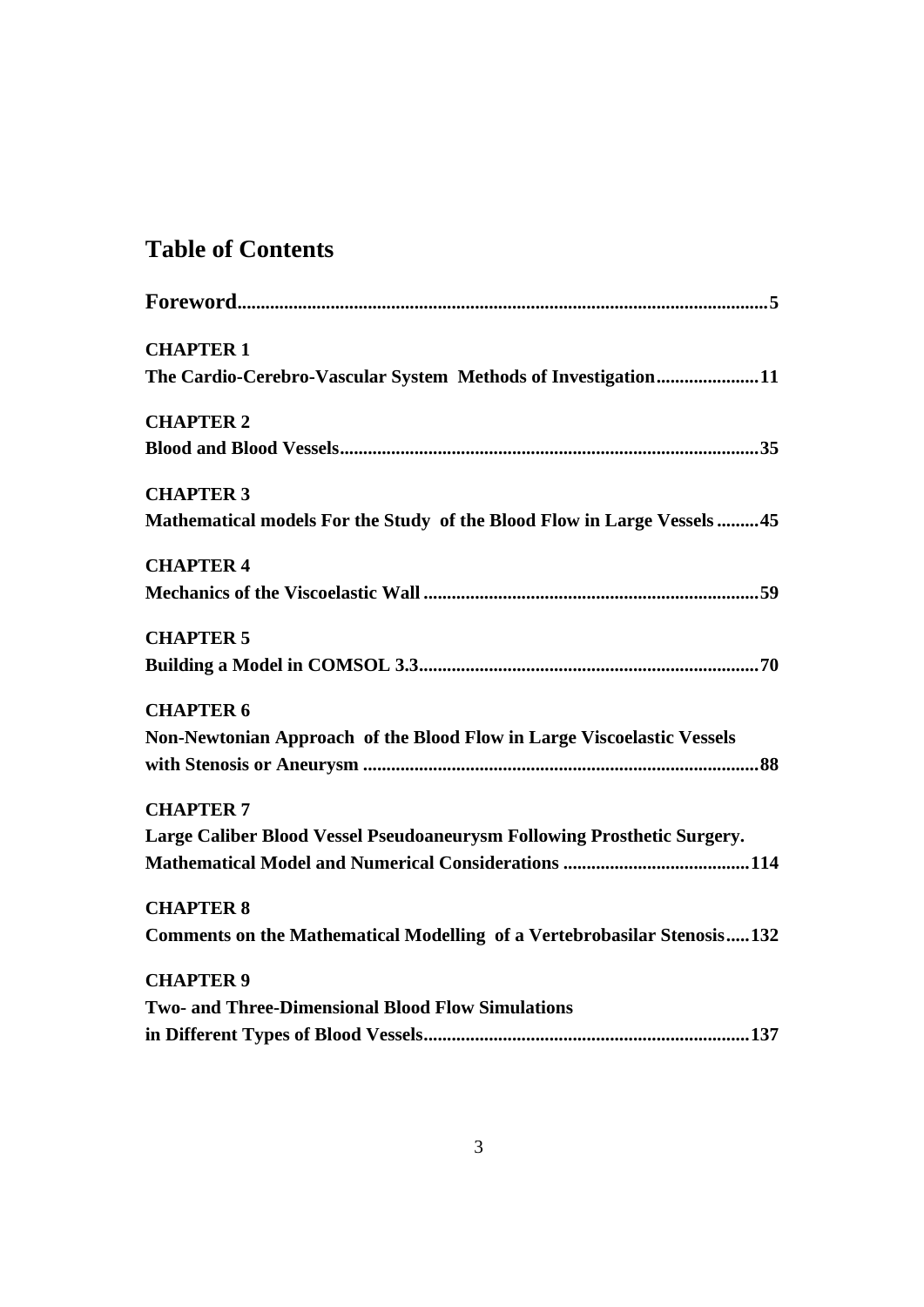## **Table of Contents**

| <b>CHAPTER 1</b>                                                        |
|-------------------------------------------------------------------------|
| The Cardio-Cerebro-Vascular System Methods of Investigation11           |
| <b>CHAPTER 2</b>                                                        |
|                                                                         |
| <b>CHAPTER 3</b>                                                        |
| Mathematical models For the Study of the Blood Flow in Large Vessels45  |
| <b>CHAPTER 4</b>                                                        |
|                                                                         |
| <b>CHAPTER 5</b>                                                        |
|                                                                         |
| <b>CHAPTER 6</b>                                                        |
| Non-Newtonian Approach of the Blood Flow in Large Viscoelastic Vessels  |
|                                                                         |
| <b>CHAPTER 7</b>                                                        |
| Large Caliber Blood Vessel Pseudoaneurysm Following Prosthetic Surgery. |
|                                                                         |
| <b>CHAPTER 8</b>                                                        |
| Comments on the Mathematical Modelling of a Vertebrobasilar Stenosis132 |
| <b>CHAPTER 9</b>                                                        |
| <b>Two- and Three-Dimensional Blood Flow Simulations</b>                |
|                                                                         |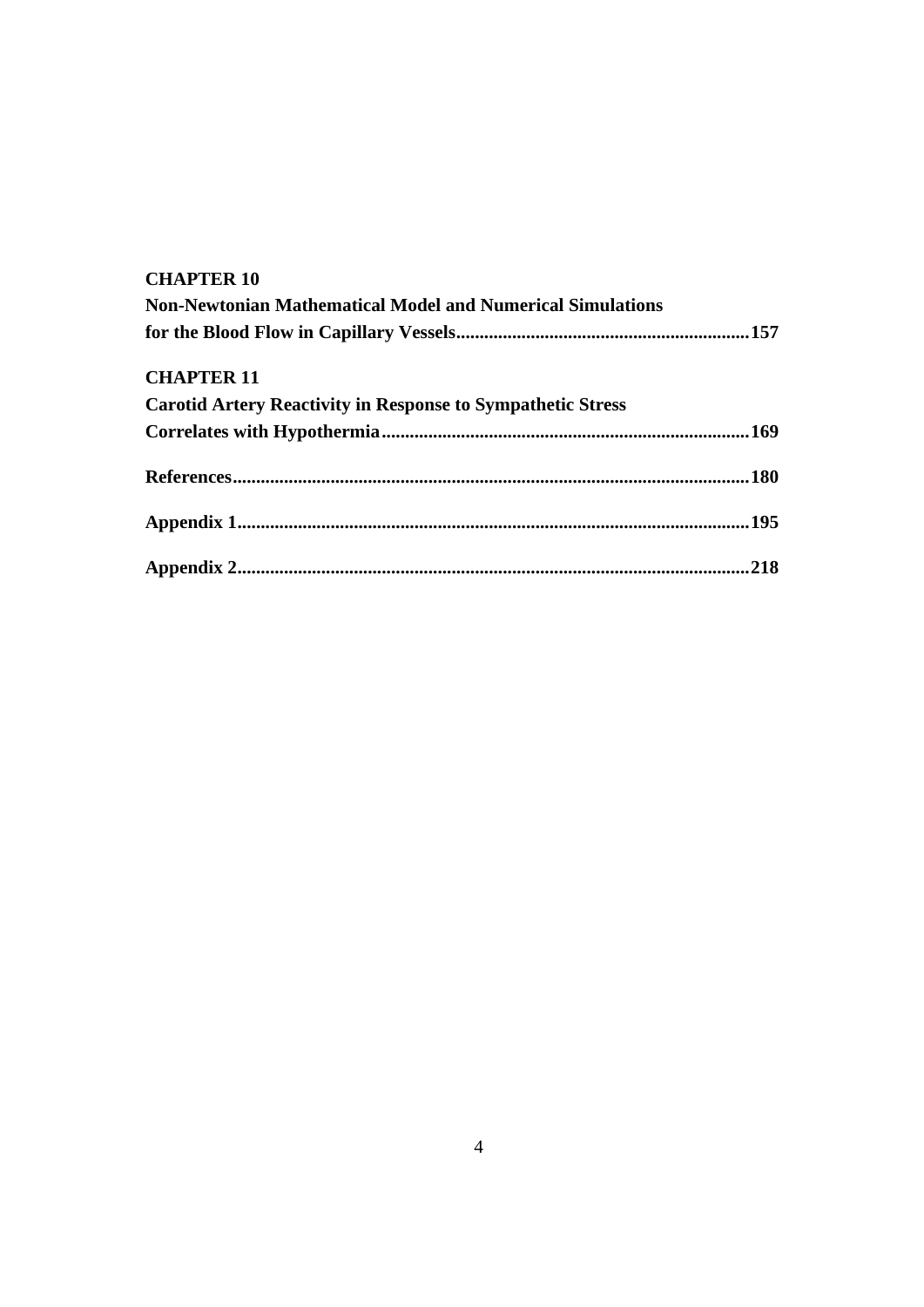#### **CHAPTER 10**

| <b>Non-Newtonian Mathematical Model and Numerical Simulations</b>  |  |
|--------------------------------------------------------------------|--|
|                                                                    |  |
| <b>CHAPTER 11</b>                                                  |  |
| <b>Carotid Artery Reactivity in Response to Sympathetic Stress</b> |  |
|                                                                    |  |
|                                                                    |  |
|                                                                    |  |
|                                                                    |  |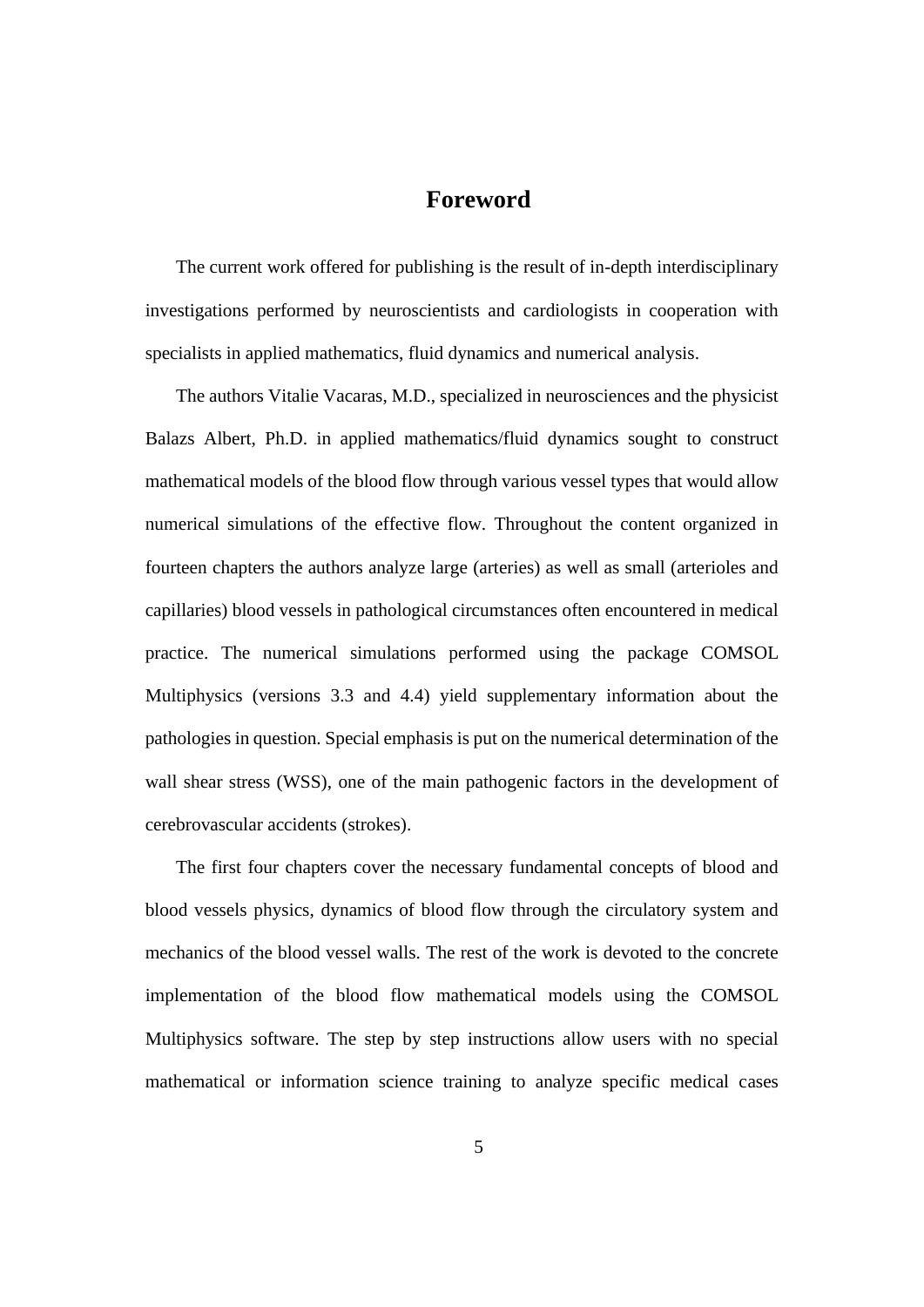### **Foreword**

<span id="page-4-0"></span>The current work offered for publishing is the result of in-depth interdisciplinary investigations performed by neuroscientists and cardiologists in cooperation with specialists in applied mathematics, fluid dynamics and numerical analysis.

The authors Vitalie Vacaras, M.D., specialized in neurosciences and the physicist Balazs Albert, Ph.D. in applied mathematics/fluid dynamics sought to construct mathematical models of the blood flow through various vessel types that would allow numerical simulations of the effective flow. Throughout the content organized in fourteen chapters the authors analyze large (arteries) as well as small (arterioles and capillaries) blood vessels in pathological circumstances often encountered in medical practice. The numerical simulations performed using the package COMSOL Multiphysics (versions 3.3 and 4.4) yield supplementary information about the pathologies in question. Special emphasis is put on the numerical determination of the wall shear stress (WSS), one of the main pathogenic factors in the development of cerebrovascular accidents (strokes).

The first four chapters cover the necessary fundamental concepts of blood and blood vessels physics, dynamics of blood flow through the circulatory system and mechanics of the blood vessel walls. The rest of the work is devoted to the concrete implementation of the blood flow mathematical models using the COMSOL Multiphysics software. The step by step instructions allow users with no special mathematical or information science training to analyze specific medical cases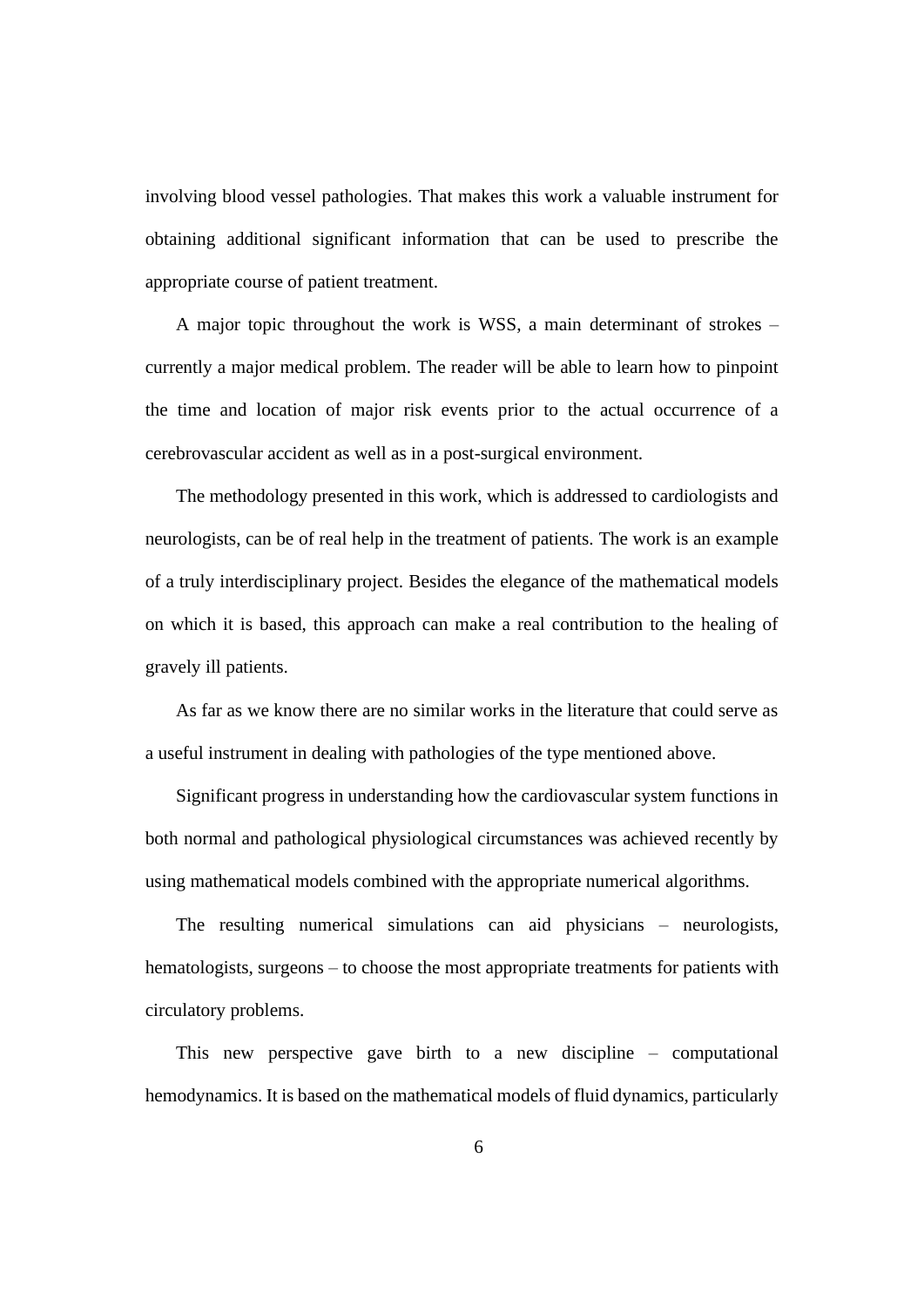involving blood vessel pathologies. That makes this work a valuable instrument for obtaining additional significant information that can be used to prescribe the appropriate course of patient treatment.

A major topic throughout the work is WSS, a main determinant of strokes – currently a major medical problem. The reader will be able to learn how to pinpoint the time and location of major risk events prior to the actual occurrence of a cerebrovascular accident as well as in a post-surgical environment.

The methodology presented in this work, which is addressed to cardiologists and neurologists, can be of real help in the treatment of patients. The work is an example of a truly interdisciplinary project. Besides the elegance of the mathematical models on which it is based, this approach can make a real contribution to the healing of gravely ill patients.

As far as we know there are no similar works in the literature that could serve as a useful instrument in dealing with pathologies of the type mentioned above.

Significant progress in understanding how the cardiovascular system functions in both normal and pathological physiological circumstances was achieved recently by using mathematical models combined with the appropriate numerical algorithms.

The resulting numerical simulations can aid physicians – neurologists, hematologists, surgeons – to choose the most appropriate treatments for patients with circulatory problems.

This new perspective gave birth to a new discipline – computational hemodynamics. It is based on the mathematical models of fluid dynamics, particularly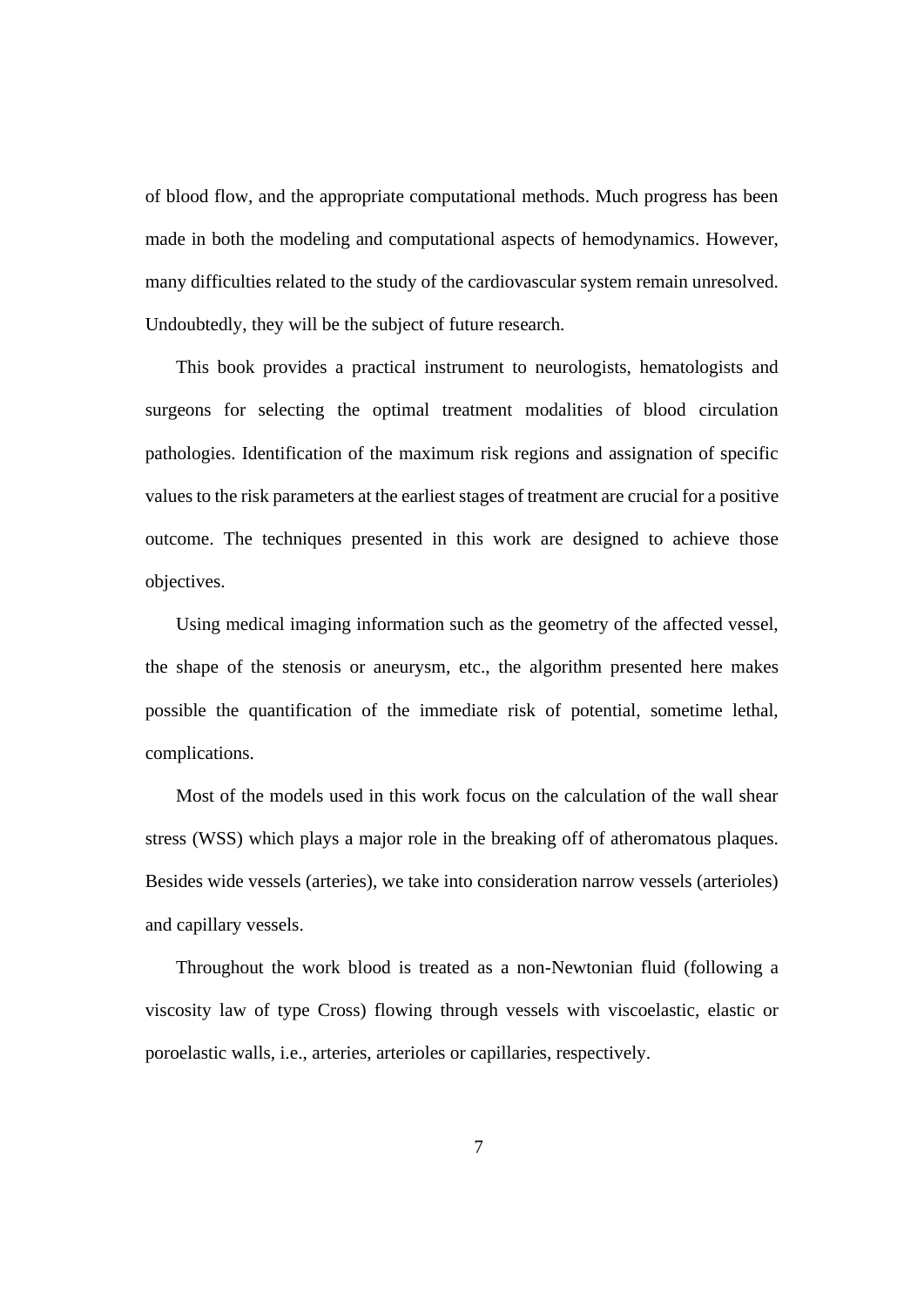of blood flow, and the appropriate computational methods. Much progress has been made in both the modeling and computational aspects of hemodynamics. However, many difficulties related to the study of the cardiovascular system remain unresolved. Undoubtedly, they will be the subject of future research.

This book provides a practical instrument to neurologists, hematologists and surgeons for selecting the optimal treatment modalities of blood circulation pathologies. Identification of the maximum risk regions and assignation of specific values to the risk parameters at the earliest stages of treatment are crucial for a positive outcome. The techniques presented in this work are designed to achieve those objectives.

Using medical imaging information such as the geometry of the affected vessel, the shape of the stenosis or aneurysm, etc., the algorithm presented here makes possible the quantification of the immediate risk of potential, sometime lethal, complications.

Most of the models used in this work focus on the calculation of the wall shear stress (WSS) which plays a major role in the breaking off of atheromatous plaques. Besides wide vessels (arteries), we take into consideration narrow vessels (arterioles) and capillary vessels.

Throughout the work blood is treated as a non-Newtonian fluid (following a viscosity law of type Cross) flowing through vessels with viscoelastic, elastic or poroelastic walls, i.e., arteries, arterioles or capillaries, respectively.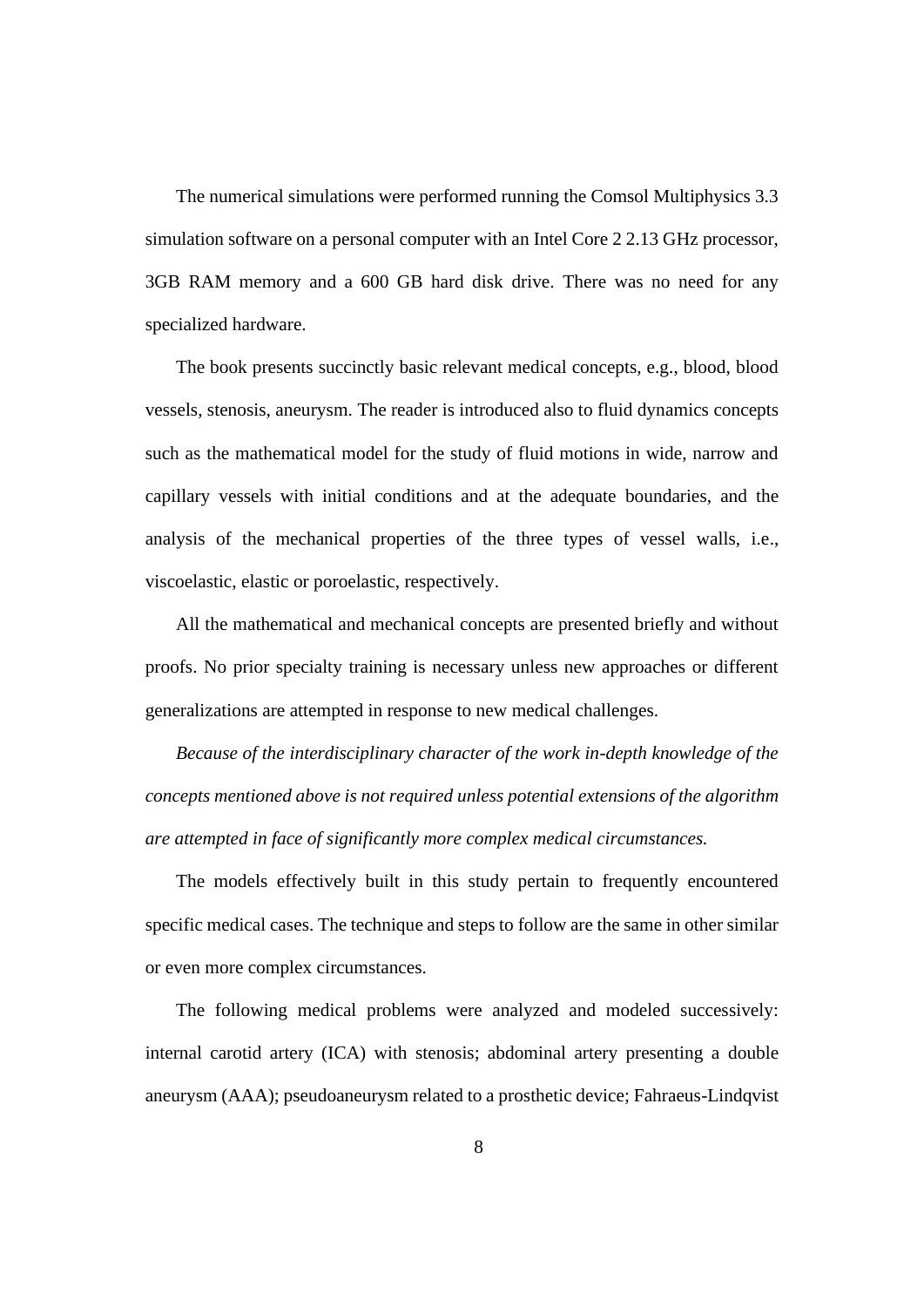The numerical simulations were performed running the Comsol Multiphysics 3.3 simulation software on a personal computer with an Intel Core 2 2.13 GHz processor, 3GB RAM memory and a 600 GB hard disk drive. There was no need for any specialized hardware.

The book presents succinctly basic relevant medical concepts, e.g., blood, blood vessels, stenosis, aneurysm. The reader is introduced also to fluid dynamics concepts such as the mathematical model for the study of fluid motions in wide, narrow and capillary vessels with initial conditions and at the adequate boundaries, and the analysis of the mechanical properties of the three types of vessel walls, i.e., viscoelastic, elastic or poroelastic, respectively.

All the mathematical and mechanical concepts are presented briefly and without proofs. No prior specialty training is necessary unless new approaches or different generalizations are attempted in response to new medical challenges.

*Because of the interdisciplinary character of the work in-depth knowledge of the concepts mentioned above is not required unless potential extensions of the algorithm are attempted in face of significantly more complex medical circumstances.*

The models effectively built in this study pertain to frequently encountered specific medical cases. The technique and steps to follow are the same in other similar or even more complex circumstances.

The following medical problems were analyzed and modeled successively: internal carotid artery (ICA) with stenosis; abdominal artery presenting a double aneurysm (AAA); pseudoaneurysm related to a prosthetic device; Fahraeus-Lindqvist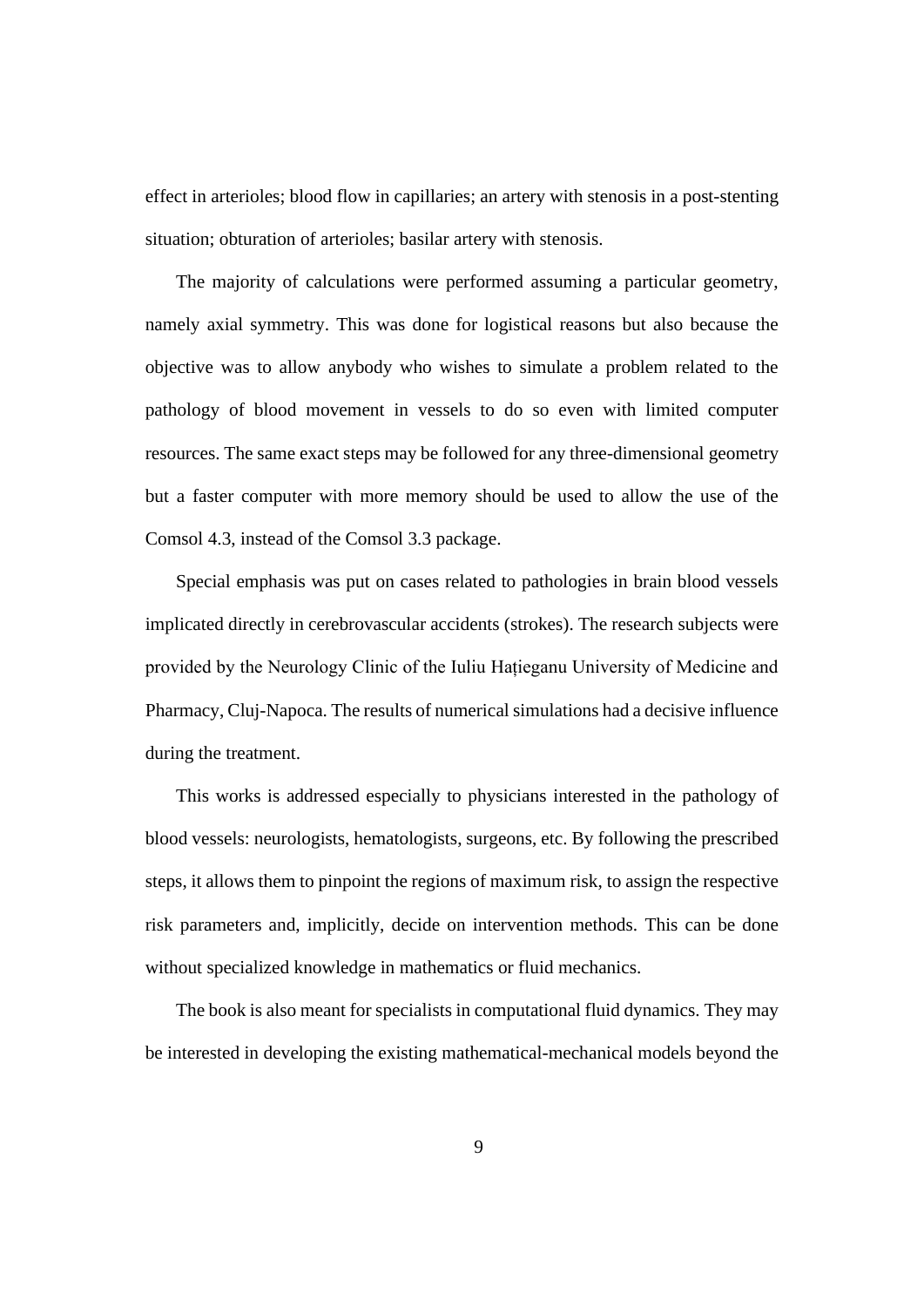effect in arterioles; blood flow in capillaries; an artery with stenosis in a post-stenting situation; obturation of arterioles; basilar artery with stenosis.

The majority of calculations were performed assuming a particular geometry, namely axial symmetry. This was done for logistical reasons but also because the objective was to allow anybody who wishes to simulate a problem related to the pathology of blood movement in vessels to do so even with limited computer resources. The same exact steps may be followed for any three-dimensional geometry but a faster computer with more memory should be used to allow the use of the Comsol 4.3, instead of the Comsol 3.3 package.

Special emphasis was put on cases related to pathologies in brain blood vessels implicated directly in cerebrovascular accidents (strokes). The research subjects were provided by the Neurology Clinic of the Iuliu Hațieganu University of Medicine and Pharmacy, Cluj-Napoca. The results of numerical simulations had a decisive influence during the treatment.

This works is addressed especially to physicians interested in the pathology of blood vessels: neurologists, hematologists, surgeons, etc. By following the prescribed steps, it allows them to pinpoint the regions of maximum risk, to assign the respective risk parameters and, implicitly, decide on intervention methods. This can be done without specialized knowledge in mathematics or fluid mechanics.

The book is also meant for specialists in computational fluid dynamics. They may be interested in developing the existing mathematical-mechanical models beyond the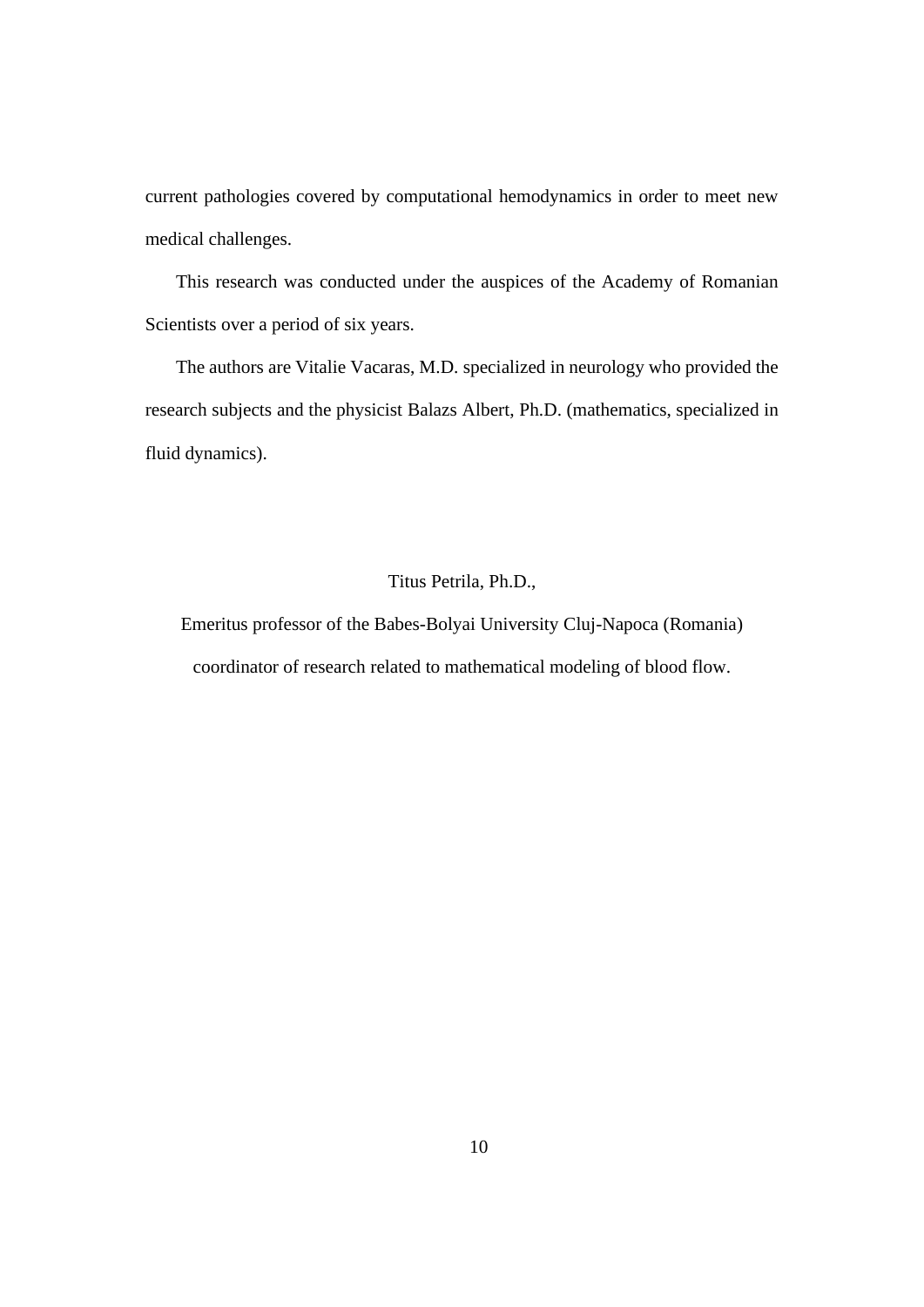current pathologies covered by computational hemodynamics in order to meet new medical challenges.

This research was conducted under the auspices of the Academy of Romanian Scientists over a period of six years.

The authors are Vitalie Vacaras, M.D. specialized in neurology who provided the research subjects and the physicist Balazs Albert, Ph.D. (mathematics, specialized in fluid dynamics).

#### Titus Petrila, Ph.D.,

Emeritus professor of the Babes-Bolyai University Cluj-Napoca (Romania) coordinator of research related to mathematical modeling of blood flow.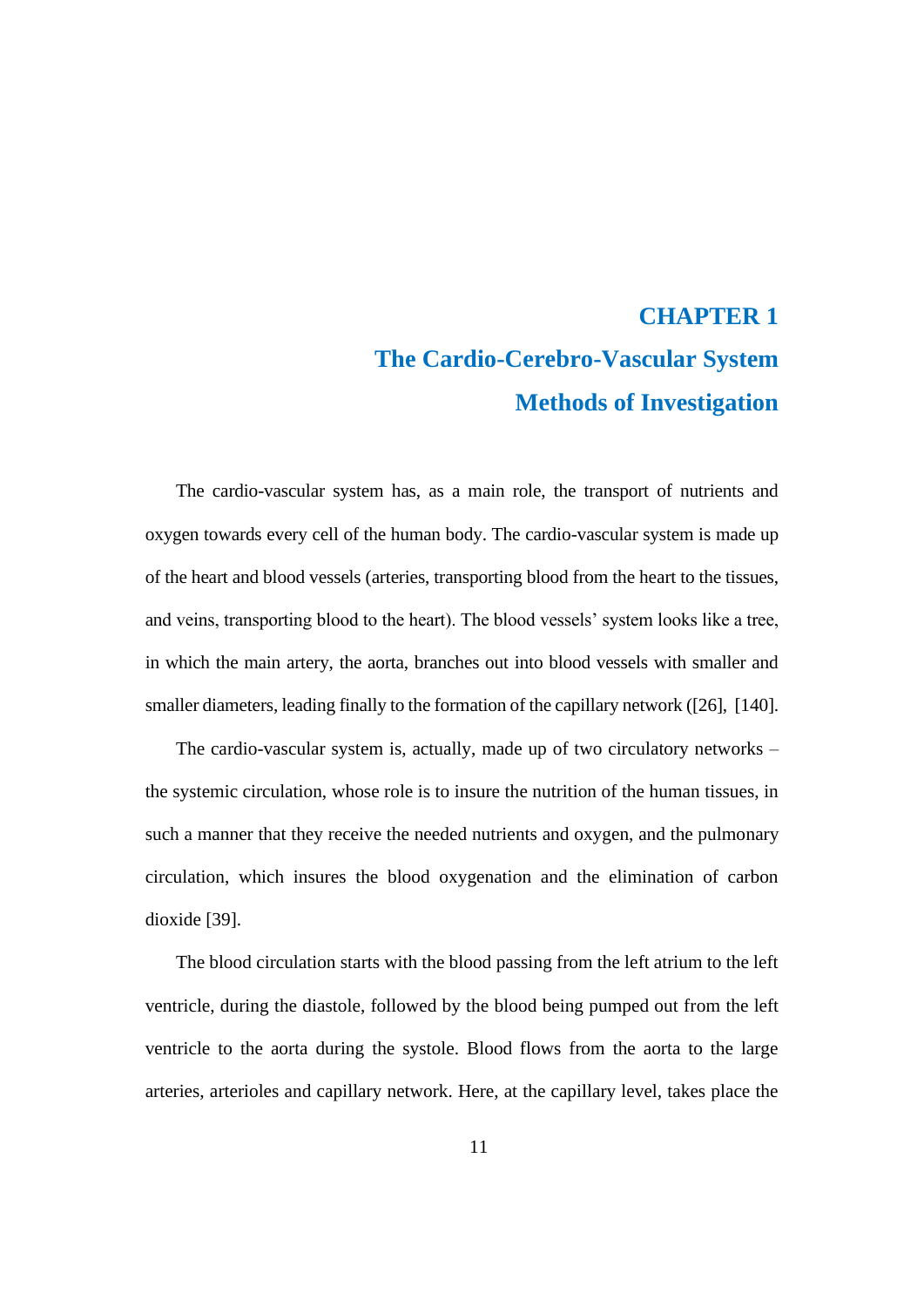## **CHAPTER 1 The Cardio-Cerebro-Vascular System Methods of Investigation**

<span id="page-10-0"></span>The cardio-vascular system has, as a main role, the transport of nutrients and oxygen towards every cell of the human body. The cardio-vascular system is made up of the heart and blood vessels (arteries, transporting blood from the heart to the tissues, and veins, transporting blood to the heart). The blood vessels' system looks like a tree, in which the main artery, the aorta, branches out into blood vessels with smaller and smaller diameters, leading finally to the formation of the capillary network ([26], [140].

The cardio-vascular system is, actually, made up of two circulatory networks – the systemic circulation, whose role is to insure the nutrition of the human tissues, in such a manner that they receive the needed nutrients and oxygen, and the pulmonary circulation, which insures the blood oxygenation and the elimination of carbon dioxide [39].

The blood circulation starts with the blood passing from the left atrium to the left ventricle, during the diastole, followed by the blood being pumped out from the left ventricle to the aorta during the systole. Blood flows from the aorta to the large arteries, arterioles and capillary network. Here, at the capillary level, takes place the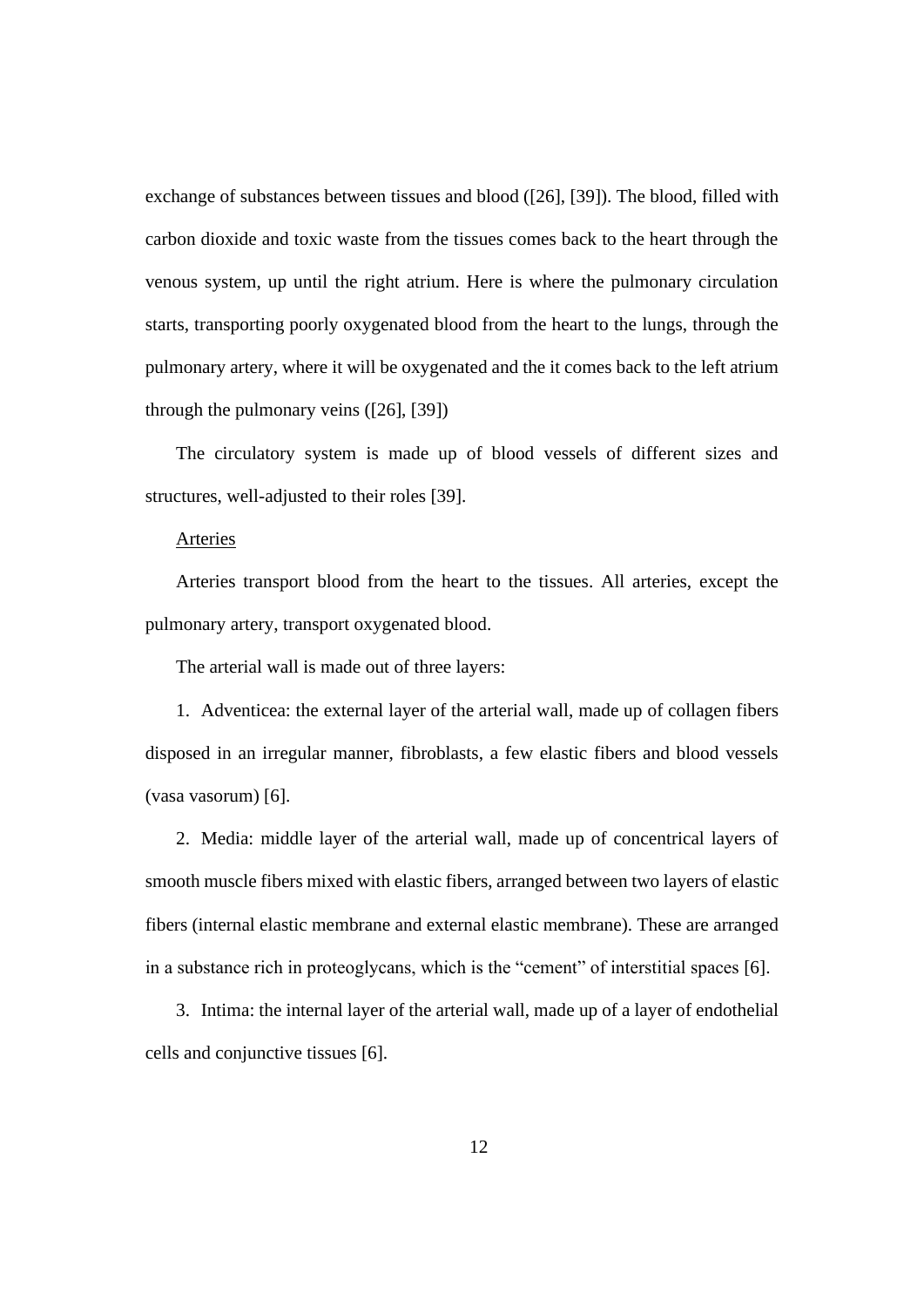exchange of substances between tissues and blood ([26], [39]). The blood, filled with carbon dioxide and toxic waste from the tissues comes back to the heart through the venous system, up until the right atrium. Here is where the pulmonary circulation starts, transporting poorly oxygenated blood from the heart to the lungs, through the pulmonary artery, where it will be oxygenated and the it comes back to the left atrium through the pulmonary veins ([26], [39])

The circulatory system is made up of blood vessels of different sizes and structures, well-adjusted to their roles [39].

#### Arteries

Arteries transport blood from the heart to the tissues. All arteries, except the pulmonary artery, transport oxygenated blood.

The arterial wall is made out of three layers:

1. Adventicea: the external layer of the arterial wall, made up of collagen fibers disposed in an irregular manner, fibroblasts, a few elastic fibers and blood vessels (vasa vasorum) [6].

2. Media: middle layer of the arterial wall, made up of concentrical layers of smooth muscle fibers mixed with elastic fibers, arranged between two layers of elastic fibers (internal elastic membrane and external elastic membrane). These are arranged in a substance rich in proteoglycans, which is the "cement" of interstitial spaces [6].

3. Intima: the internal layer of the arterial wall, made up of a layer of endothelial cells and conjunctive tissues [6].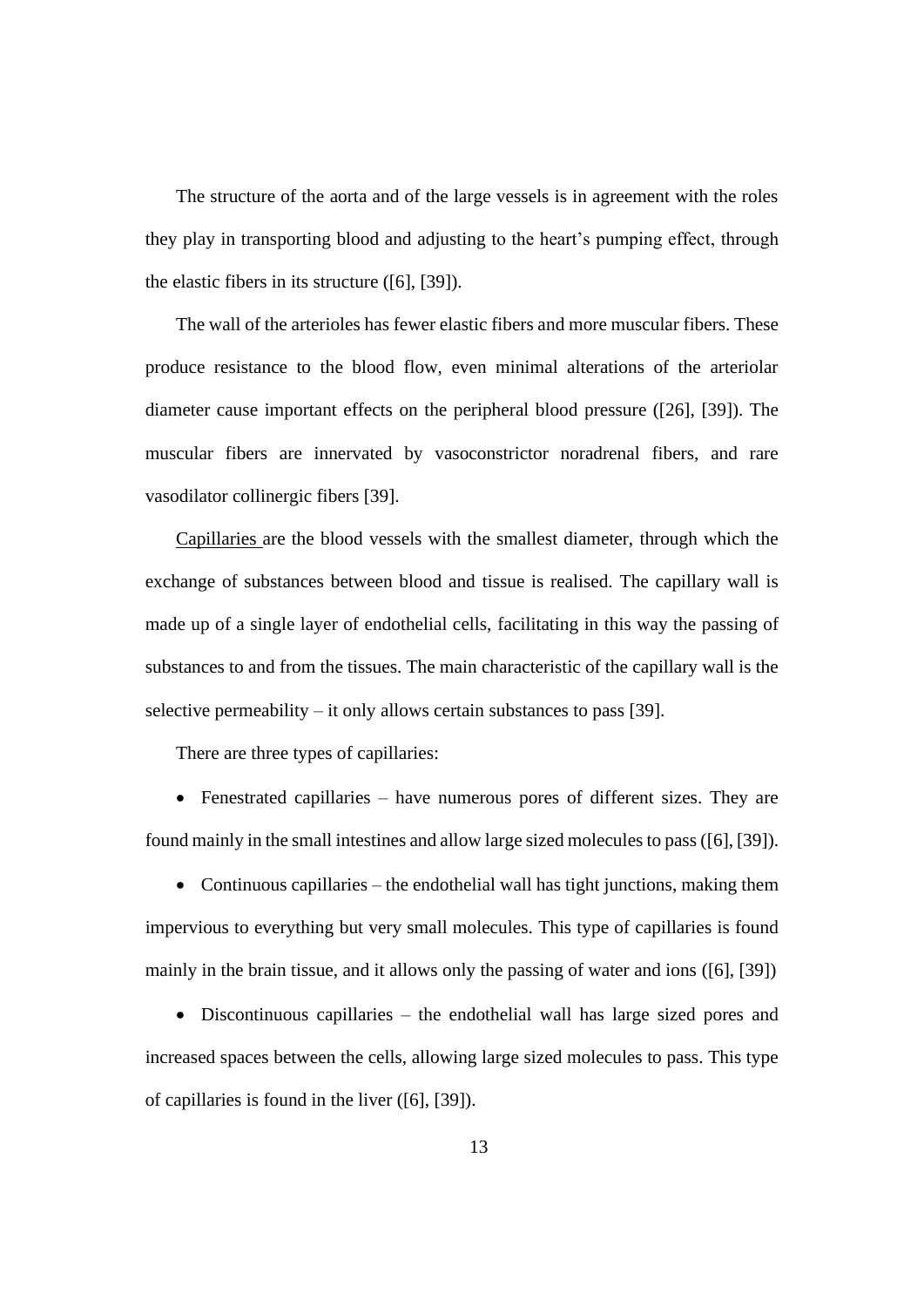The structure of the aorta and of the large vessels is in agreement with the roles they play in transporting blood and adjusting to the heart's pumping effect, through the elastic fibers in its structure ([6], [39]).

The wall of the arterioles has fewer elastic fibers and more muscular fibers. These produce resistance to the blood flow, even minimal alterations of the arteriolar diameter cause important effects on the peripheral blood pressure ([26], [39]). The muscular fibers are innervated by vasoconstrictor noradrenal fibers, and rare vasodilator collinergic fibers [39].

Capillaries are the blood vessels with the smallest diameter, through which the exchange of substances between blood and tissue is realised. The capillary wall is made up of a single layer of endothelial cells, facilitating in this way the passing of substances to and from the tissues. The main characteristic of the capillary wall is the selective permeability – it only allows certain substances to pass [39].

There are three types of capillaries:

• Fenestrated capillaries – have numerous pores of different sizes. They are found mainly in the small intestines and allow large sized molecules to pass ([6], [39]).

• Continuous capillaries – the endothelial wall has tight junctions, making them impervious to everything but very small molecules. This type of capillaries is found mainly in the brain tissue, and it allows only the passing of water and ions ([6], [39])

• Discontinuous capillaries – the endothelial wall has large sized pores and increased spaces between the cells, allowing large sized molecules to pass. This type of capillaries is found in the liver ([6], [39]).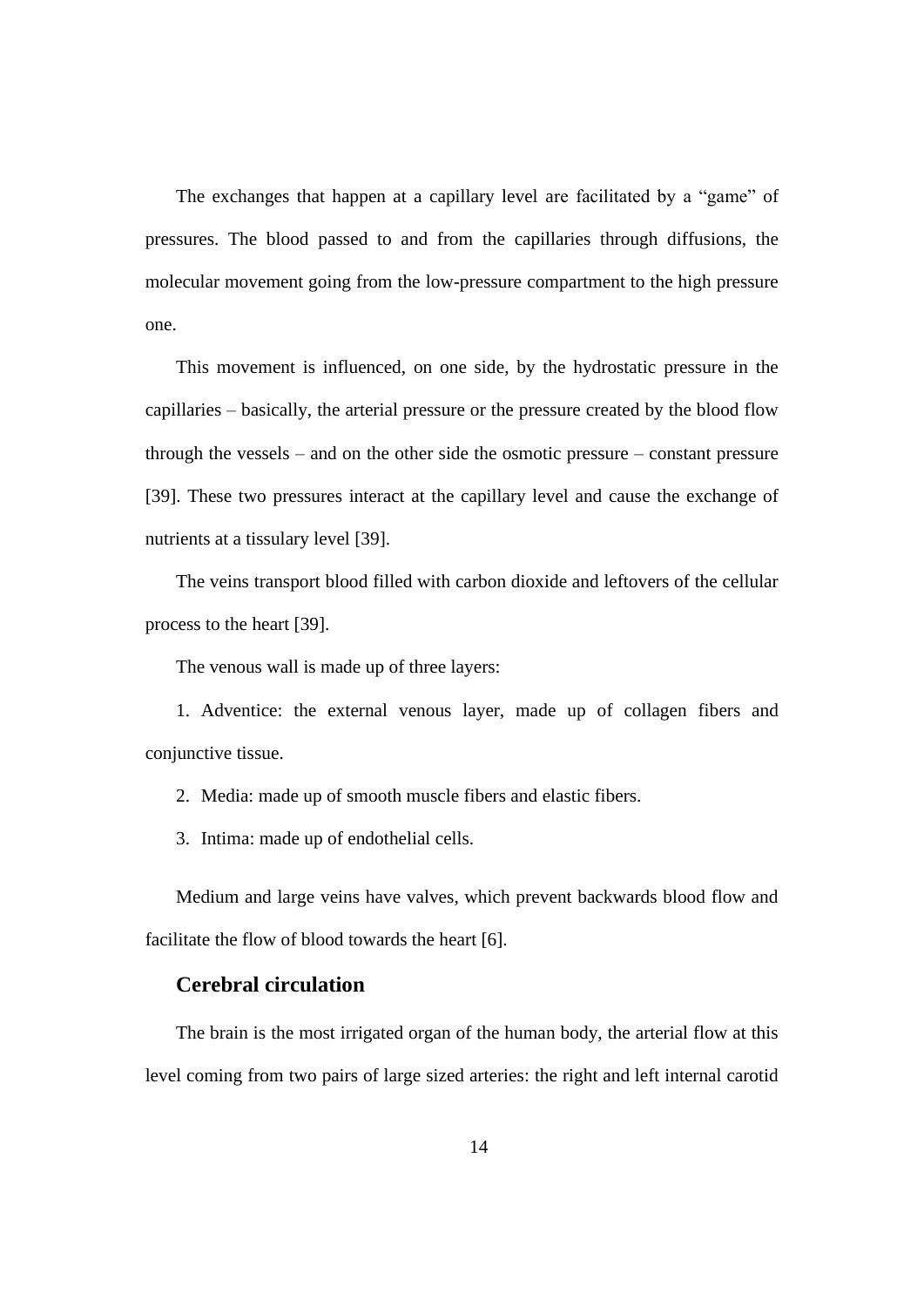The exchanges that happen at a capillary level are facilitated by a "game" of pressures. The blood passed to and from the capillaries through diffusions, the molecular movement going from the low-pressure compartment to the high pressure one.

This movement is influenced, on one side, by the hydrostatic pressure in the capillaries – basically, the arterial pressure or the pressure created by the blood flow through the vessels – and on the other side the osmotic pressure – constant pressure [39]. These two pressures interact at the capillary level and cause the exchange of nutrients at a tissulary level [39].

The veins transport blood filled with carbon dioxide and leftovers of the cellular process to the heart [39].

The venous wall is made up of three layers:

1. Adventice: the external venous layer, made up of collagen fibers and conjunctive tissue.

2. Media: made up of smooth muscle fibers and elastic fibers.

3. Intima: made up of endothelial cells.

Medium and large veins have valves, which prevent backwards blood flow and facilitate the flow of blood towards the heart [6].

#### **Cerebral circulation**

The brain is the most irrigated organ of the human body, the arterial flow at this level coming from two pairs of large sized arteries: the right and left internal carotid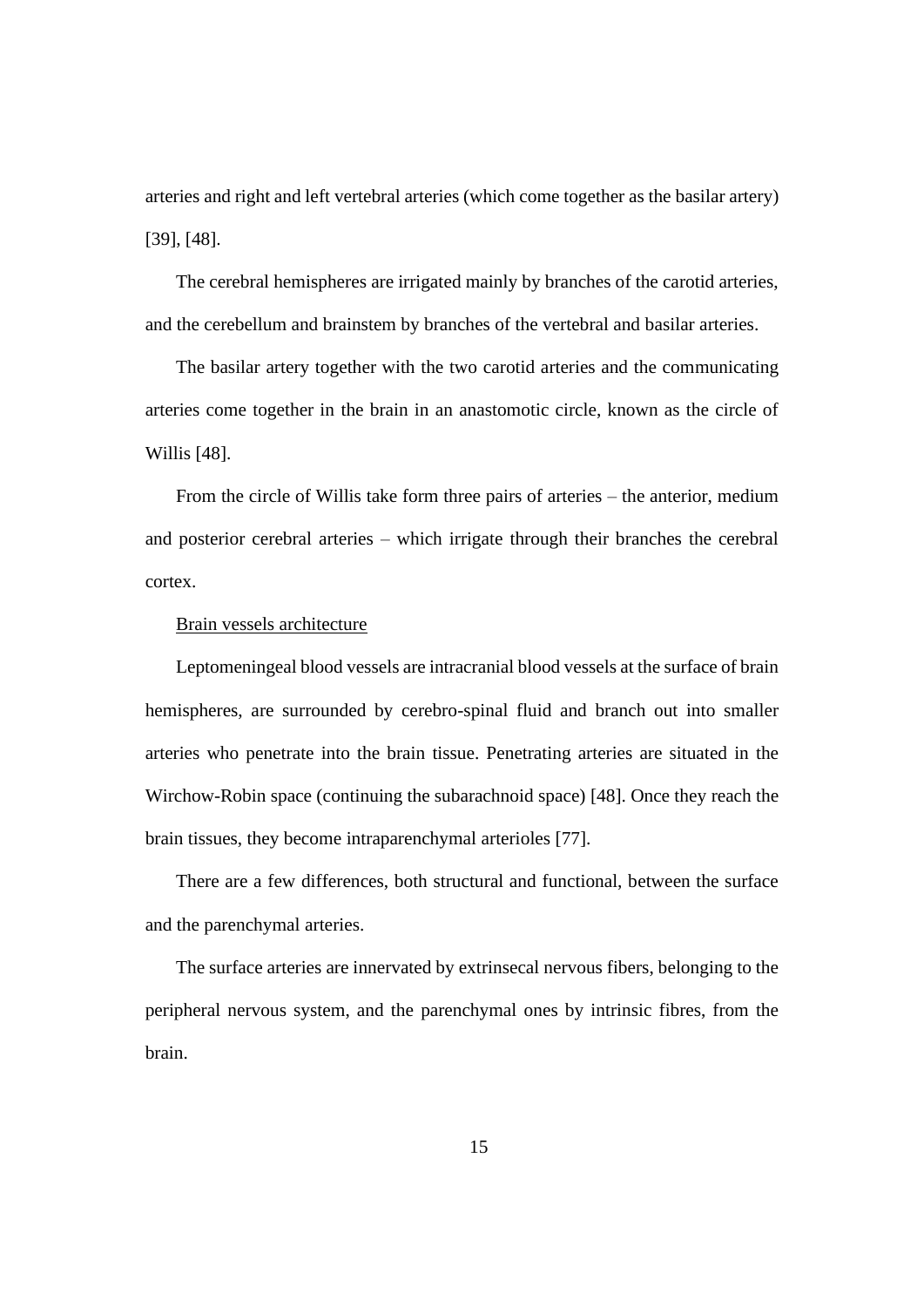arteries and right and left vertebral arteries (which come together as the basilar artery) [39], [48].

The cerebral hemispheres are irrigated mainly by branches of the carotid arteries, and the cerebellum and brainstem by branches of the vertebral and basilar arteries.

The basilar artery together with the two carotid arteries and the communicating arteries come together in the brain in an anastomotic circle, known as the circle of Willis [48].

From the circle of Willis take form three pairs of arteries – the anterior, medium and posterior cerebral arteries – which irrigate through their branches the cerebral cortex.

#### Brain vessels architecture

Leptomeningeal blood vessels are intracranial blood vessels at the surface of brain hemispheres, are surrounded by cerebro-spinal fluid and branch out into smaller arteries who penetrate into the brain tissue. Penetrating arteries are situated in the Wirchow-Robin space (continuing the subarachnoid space) [48]. Once they reach the brain tissues, they become intraparenchymal arterioles [77].

There are a few differences, both structural and functional, between the surface and the parenchymal arteries.

The surface arteries are innervated by extrinsecal nervous fibers, belonging to the peripheral nervous system, and the parenchymal ones by intrinsic fibres, from the brain.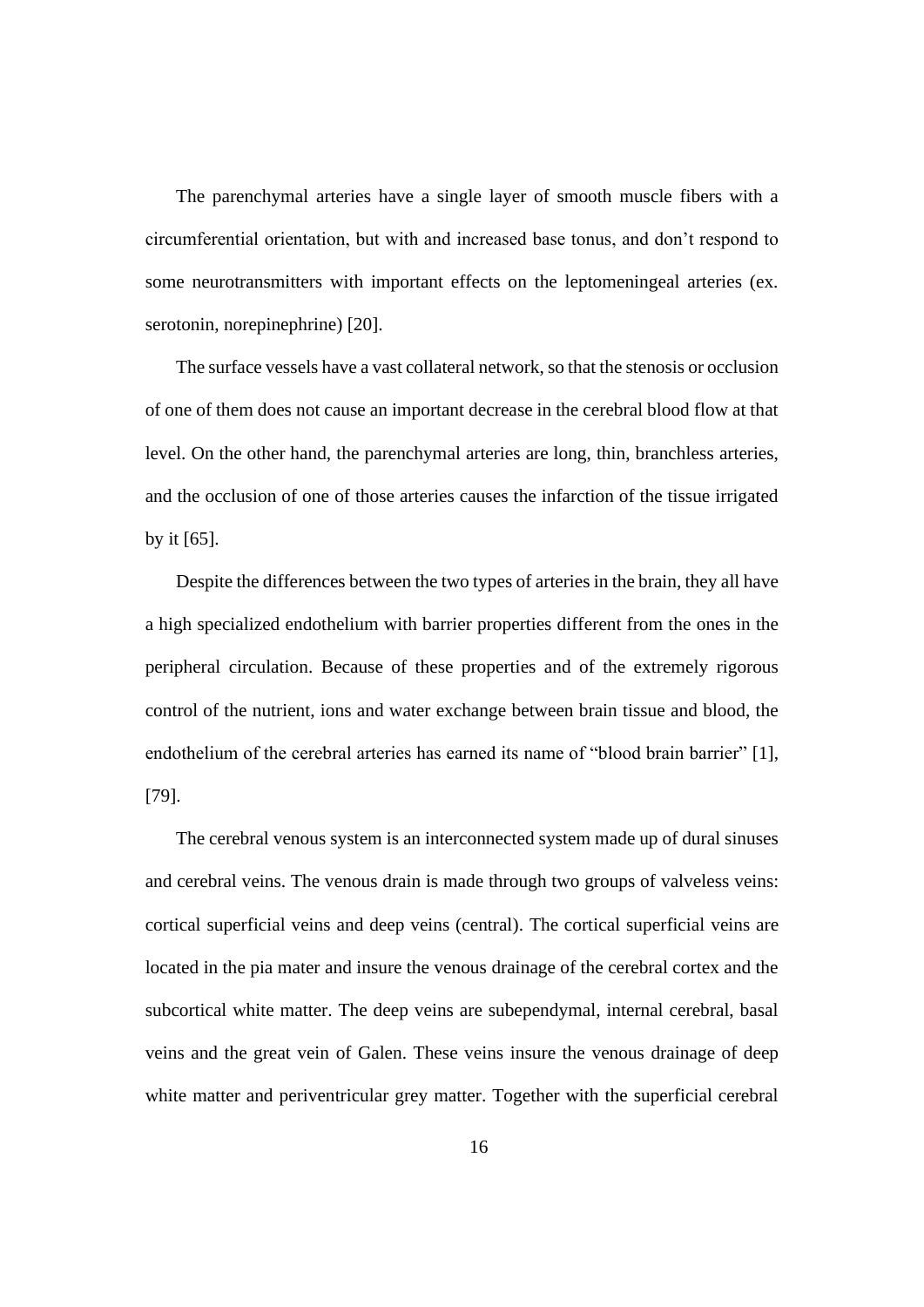The parenchymal arteries have a single layer of smooth muscle fibers with a circumferential orientation, but with and increased base tonus, and don't respond to some neurotransmitters with important effects on the leptomeningeal arteries (ex. serotonin, norepinephrine) [20].

The surface vessels have a vast collateral network, so that the stenosis or occlusion of one of them does not cause an important decrease in the cerebral blood flow at that level. On the other hand, the parenchymal arteries are long, thin, branchless arteries, and the occlusion of one of those arteries causes the infarction of the tissue irrigated by it [65].

Despite the differences between the two types of arteries in the brain, they all have a high specialized endothelium with barrier properties different from the ones in the peripheral circulation. Because of these properties and of the extremely rigorous control of the nutrient, ions and water exchange between brain tissue and blood, the endothelium of the cerebral arteries has earned its name of "blood brain barrier" [1], [79].

The cerebral venous system is an interconnected system made up of dural sinuses and cerebral veins. The venous drain is made through two groups of valveless veins: cortical superficial veins and deep veins (central). The cortical superficial veins are located in the pia mater and insure the venous drainage of the cerebral cortex and the subcortical white matter. The deep veins are subependymal, internal cerebral, basal veins and the great vein of Galen. These veins insure the venous drainage of deep white matter and periventricular grey matter. Together with the superficial cerebral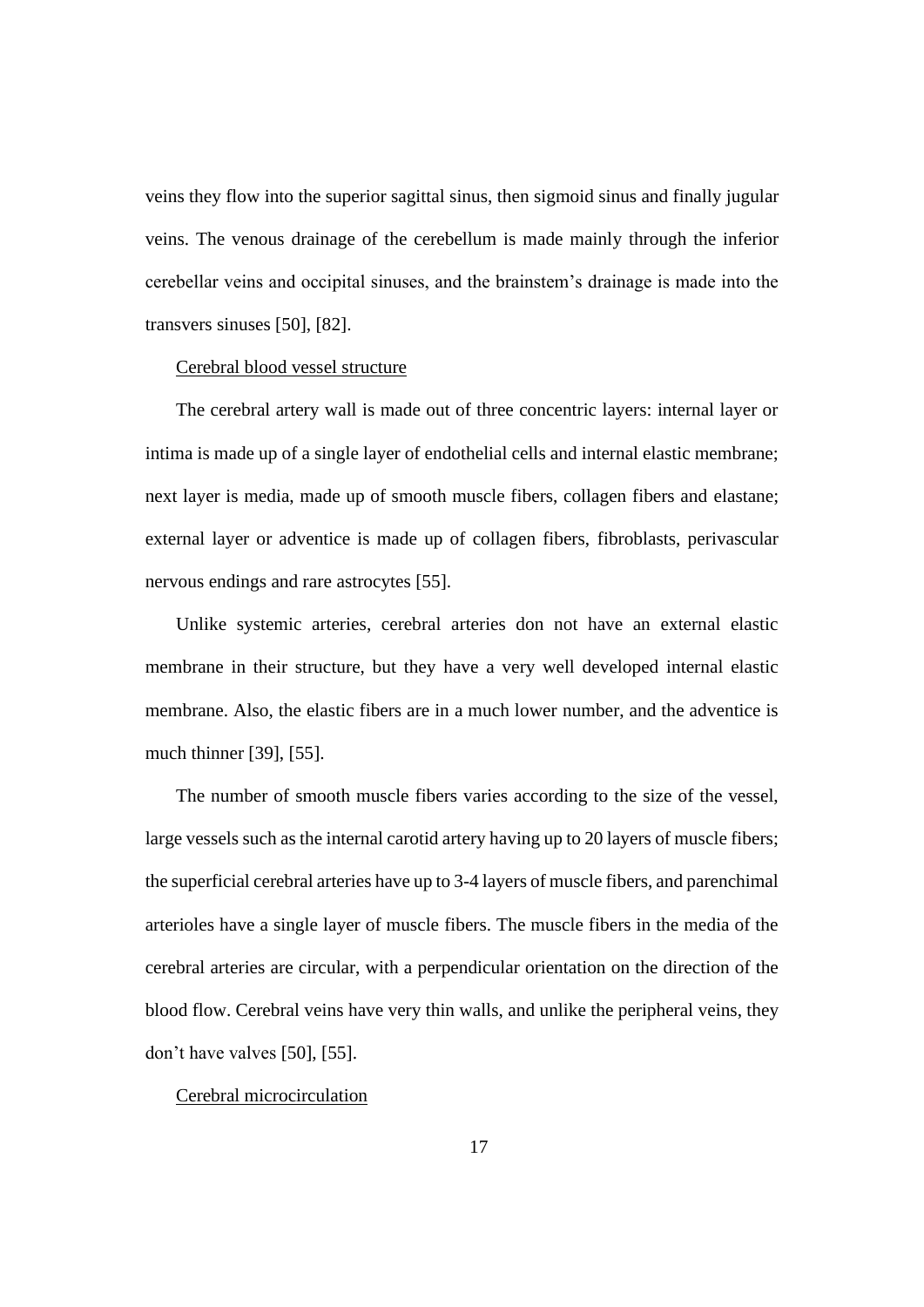veins they flow into the superior sagittal sinus, then sigmoid sinus and finally jugular veins. The venous drainage of the cerebellum is made mainly through the inferior cerebellar veins and occipital sinuses, and the brainstem's drainage is made into the transvers sinuses [50], [82].

#### Cerebral blood vessel structure

The cerebral artery wall is made out of three concentric layers: internal layer or intima is made up of a single layer of endothelial cells and internal elastic membrane; next layer is media, made up of smooth muscle fibers, collagen fibers and elastane; external layer or adventice is made up of collagen fibers, fibroblasts, perivascular nervous endings and rare astrocytes [55].

Unlike systemic arteries, cerebral arteries don not have an external elastic membrane in their structure, but they have a very well developed internal elastic membrane. Also, the elastic fibers are in a much lower number, and the adventice is much thinner [39], [55].

The number of smooth muscle fibers varies according to the size of the vessel, large vessels such as the internal carotid artery having up to 20 layers of muscle fibers; the superficial cerebral arteries have up to 3-4 layers of muscle fibers, and parenchimal arterioles have a single layer of muscle fibers. The muscle fibers in the media of the cerebral arteries are circular, with a perpendicular orientation on the direction of the blood flow. Cerebral veins have very thin walls, and unlike the peripheral veins, they don't have valves [50], [55].

#### Cerebral microcirculation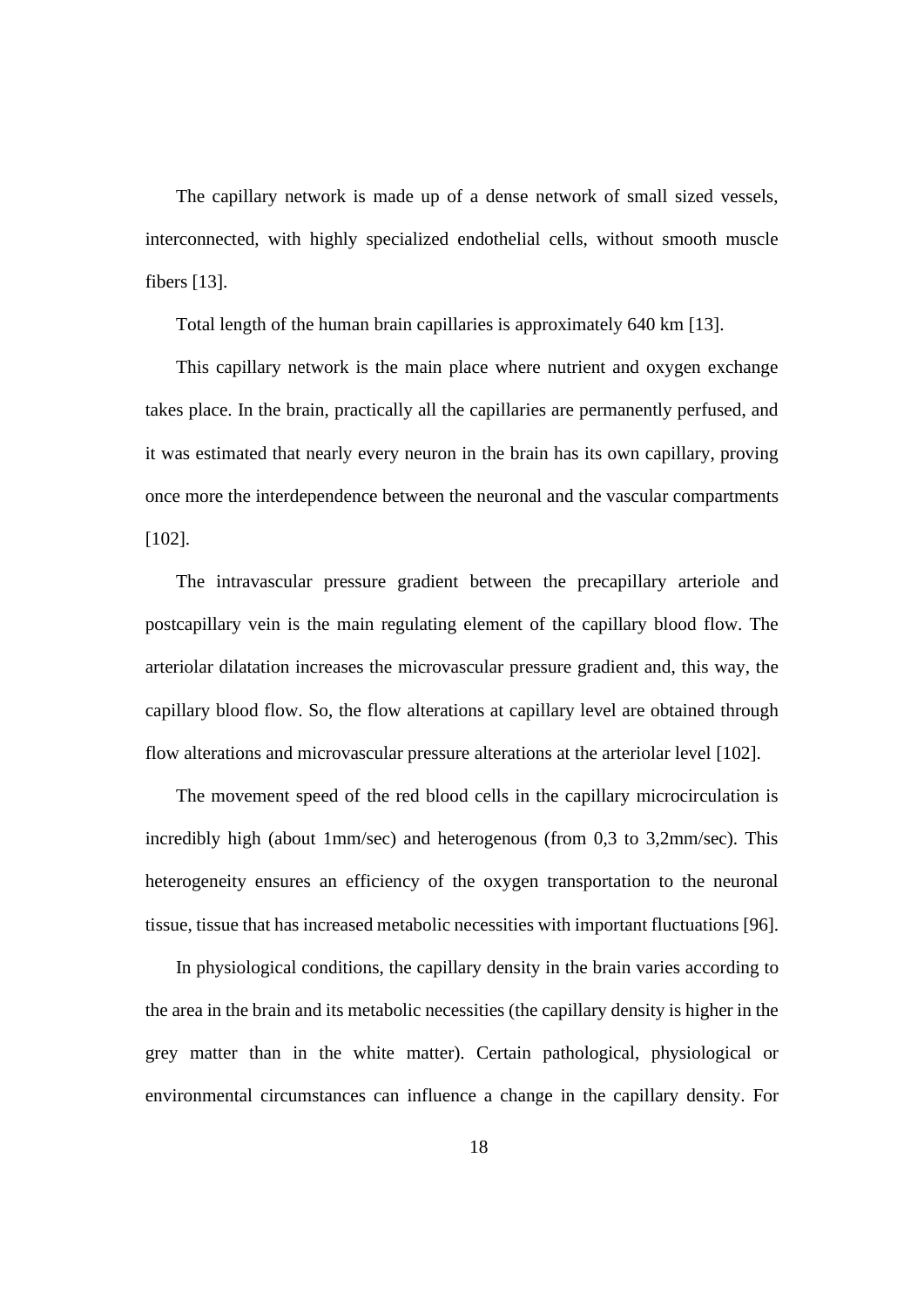The capillary network is made up of a dense network of small sized vessels, interconnected, with highly specialized endothelial cells, without smooth muscle fibers [13].

Total length of the human brain capillaries is approximately 640 km [13].

This capillary network is the main place where nutrient and oxygen exchange takes place. In the brain, practically all the capillaries are permanently perfused, and it was estimated that nearly every neuron in the brain has its own capillary, proving once more the interdependence between the neuronal and the vascular compartments [102].

The intravascular pressure gradient between the precapillary arteriole and postcapillary vein is the main regulating element of the capillary blood flow. The arteriolar dilatation increases the microvascular pressure gradient and, this way, the capillary blood flow. So, the flow alterations at capillary level are obtained through flow alterations and microvascular pressure alterations at the arteriolar level [102].

The movement speed of the red blood cells in the capillary microcirculation is incredibly high (about 1mm/sec) and heterogenous (from 0,3 to 3,2mm/sec). This heterogeneity ensures an efficiency of the oxygen transportation to the neuronal tissue, tissue that has increased metabolic necessities with important fluctuations [96].

In physiological conditions, the capillary density in the brain varies according to the area in the brain and its metabolic necessities (the capillary density is higher in the grey matter than in the white matter). Certain pathological, physiological or environmental circumstances can influence a change in the capillary density. For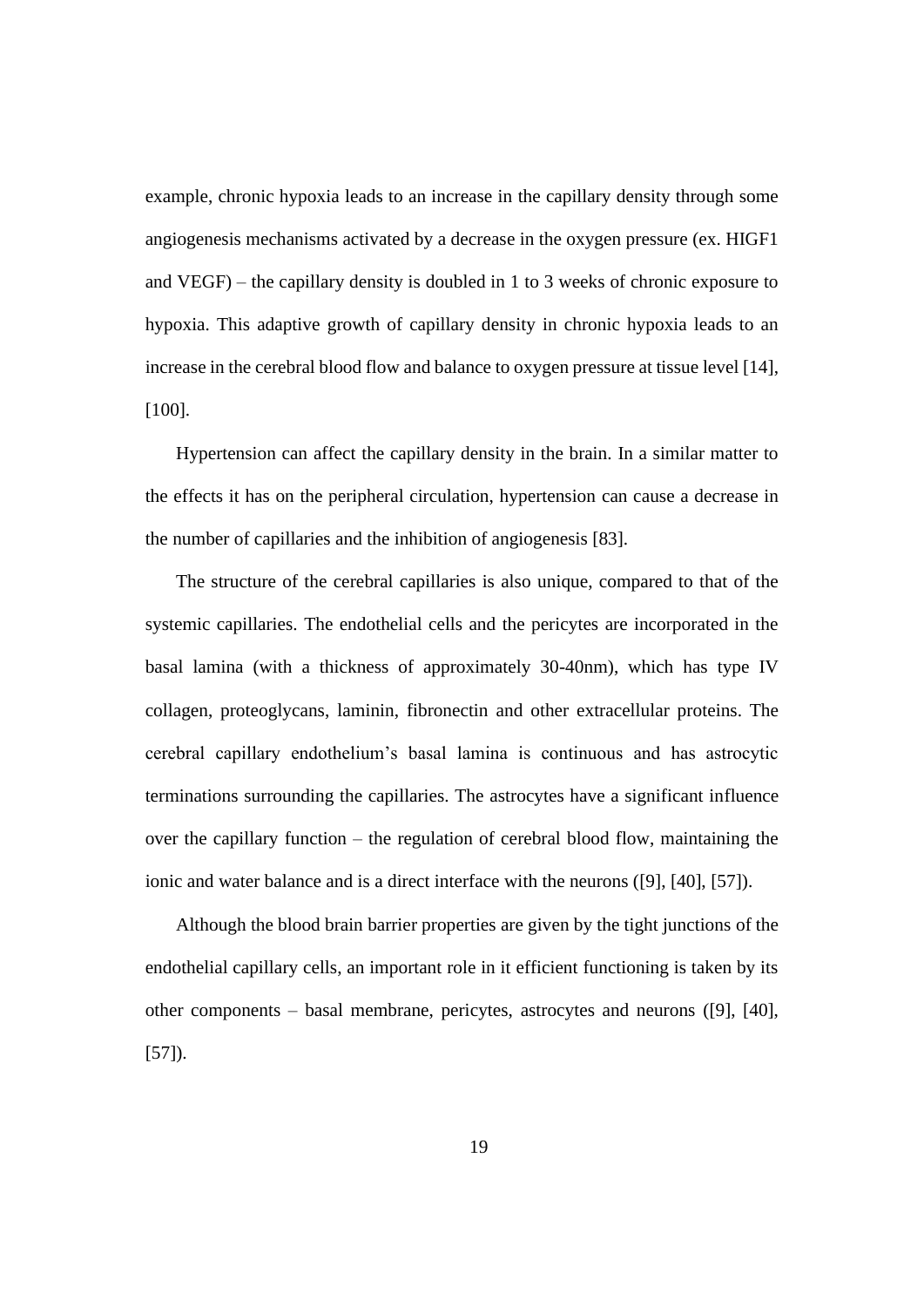example, chronic hypoxia leads to an increase in the capillary density through some angiogenesis mechanisms activated by a decrease in the oxygen pressure (ex. HIGF1 and VEGF) – the capillary density is doubled in 1 to 3 weeks of chronic exposure to hypoxia. This adaptive growth of capillary density in chronic hypoxia leads to an increase in the cerebral blood flow and balance to oxygen pressure at tissue level [14], [100].

Hypertension can affect the capillary density in the brain. In a similar matter to the effects it has on the peripheral circulation, hypertension can cause a decrease in the number of capillaries and the inhibition of angiogenesis [83].

The structure of the cerebral capillaries is also unique, compared to that of the systemic capillaries. The endothelial cells and the pericytes are incorporated in the basal lamina (with a thickness of approximately 30-40nm), which has type IV collagen, proteoglycans, laminin, fibronectin and other extracellular proteins. The cerebral capillary endothelium's basal lamina is continuous and has astrocytic terminations surrounding the capillaries. The astrocytes have a significant influence over the capillary function – the regulation of cerebral blood flow, maintaining the ionic and water balance and is a direct interface with the neurons ([9], [40], [57]).

Although the blood brain barrier properties are given by the tight junctions of the endothelial capillary cells, an important role in it efficient functioning is taken by its other components – basal membrane, pericytes, astrocytes and neurons ([9], [40], [57]).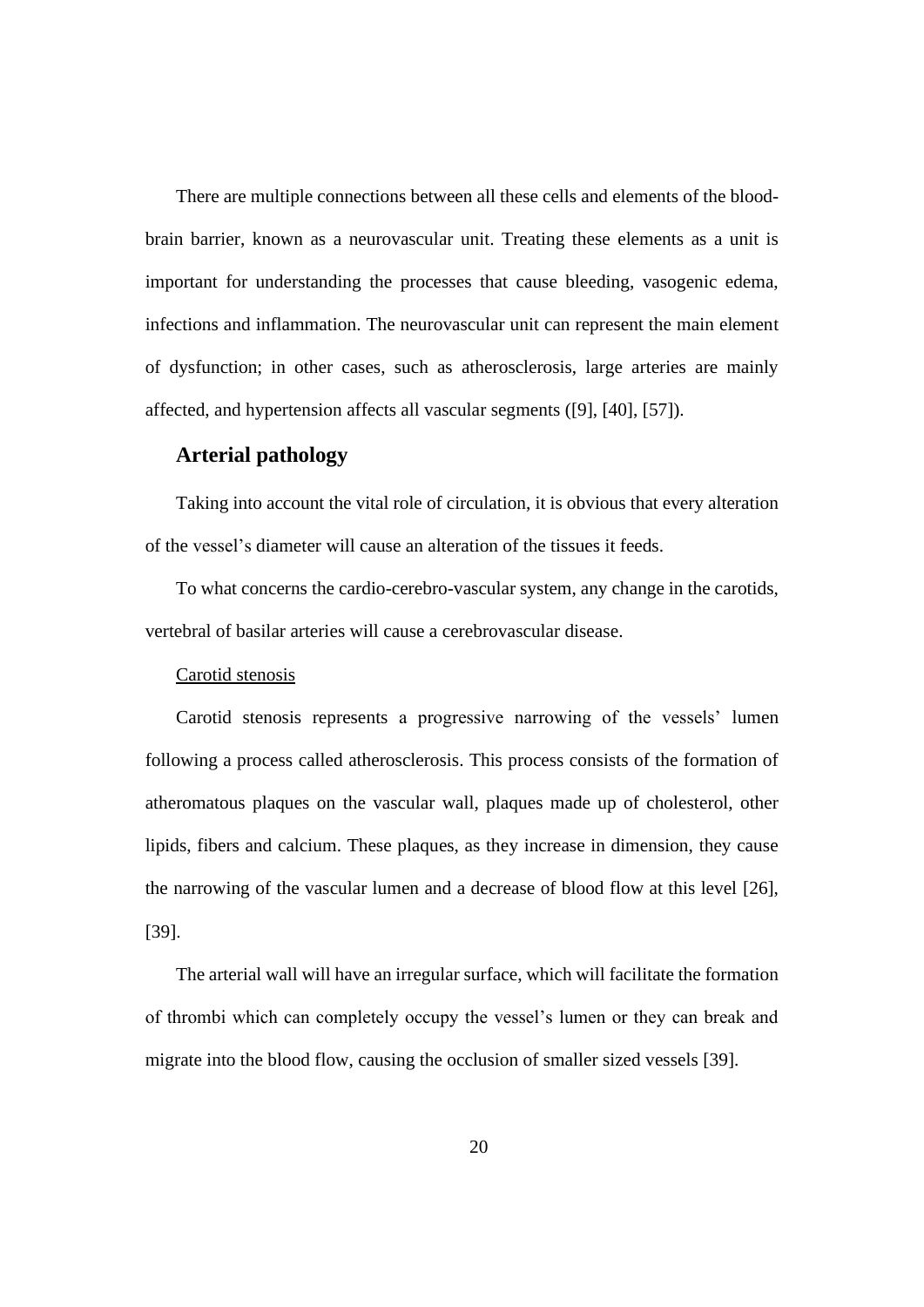There are multiple connections between all these cells and elements of the bloodbrain barrier, known as a neurovascular unit. Treating these elements as a unit is important for understanding the processes that cause bleeding, vasogenic edema, infections and inflammation. The neurovascular unit can represent the main element of dysfunction; in other cases, such as atherosclerosis, large arteries are mainly affected, and hypertension affects all vascular segments ([9], [40], [57]).

#### **Arterial pathology**

Taking into account the vital role of circulation, it is obvious that every alteration of the vessel's diameter will cause an alteration of the tissues it feeds.

To what concerns the cardio-cerebro-vascular system, any change in the carotids, vertebral of basilar arteries will cause a cerebrovascular disease.

#### Carotid stenosis

Carotid stenosis represents a progressive narrowing of the vessels' lumen following a process called atherosclerosis. This process consists of the formation of atheromatous plaques on the vascular wall, plaques made up of cholesterol, other lipids, fibers and calcium. These plaques, as they increase in dimension, they cause the narrowing of the vascular lumen and a decrease of blood flow at this level [26], [39].

The arterial wall will have an irregular surface, which will facilitate the formation of thrombi which can completely occupy the vessel's lumen or they can break and migrate into the blood flow, causing the occlusion of smaller sized vessels [39].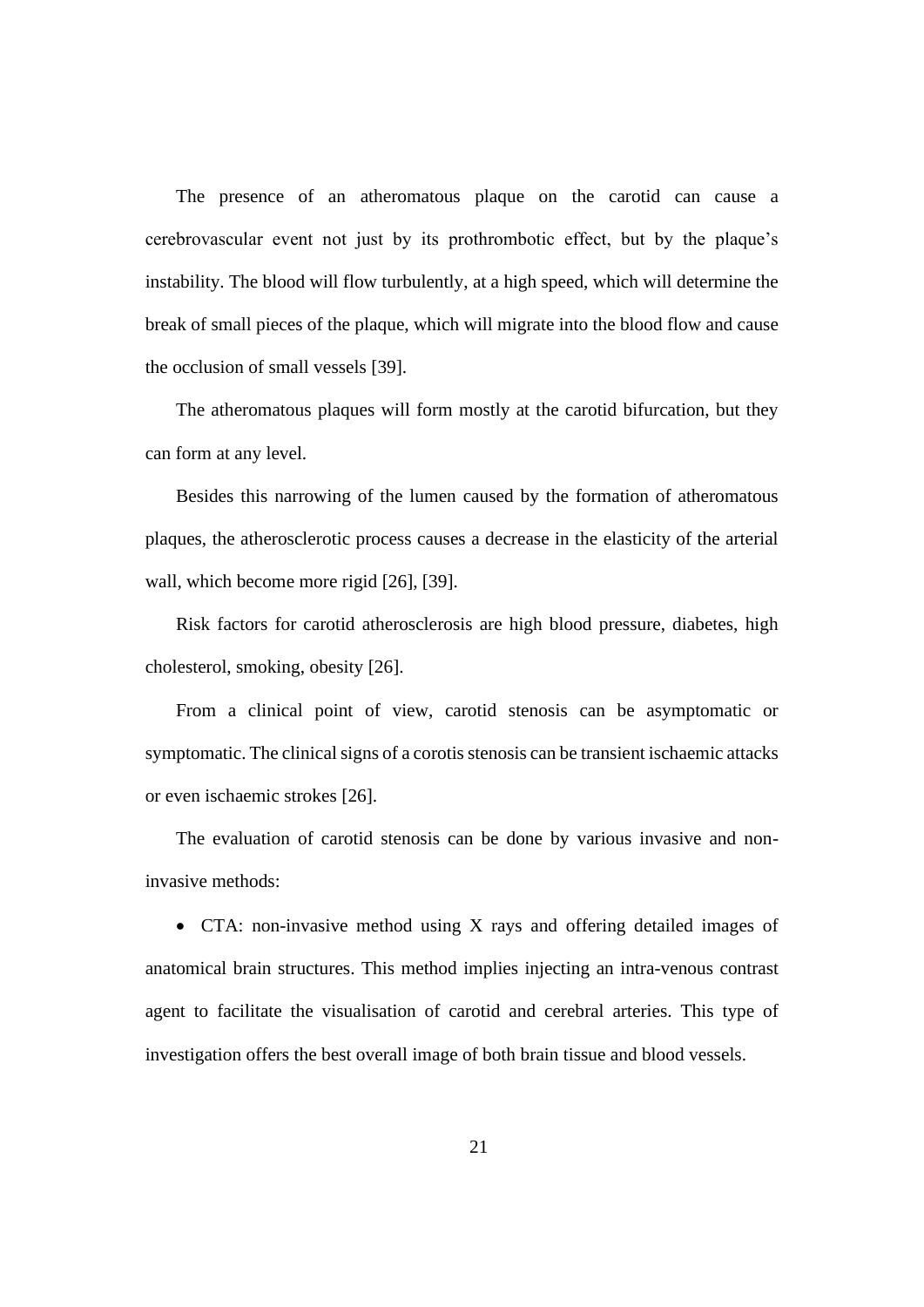The presence of an atheromatous plaque on the carotid can cause a cerebrovascular event not just by its prothrombotic effect, but by the plaque's instability. The blood will flow turbulently, at a high speed, which will determine the break of small pieces of the plaque, which will migrate into the blood flow and cause the occlusion of small vessels [39].

The atheromatous plaques will form mostly at the carotid bifurcation, but they can form at any level.

Besides this narrowing of the lumen caused by the formation of atheromatous plaques, the atherosclerotic process causes a decrease in the elasticity of the arterial wall, which become more rigid [26], [39].

Risk factors for carotid atherosclerosis are high blood pressure, diabetes, high cholesterol, smoking, obesity [26].

From a clinical point of view, carotid stenosis can be asymptomatic or symptomatic. The clinical signs of a corotis stenosis can be transient ischaemic attacks or even ischaemic strokes [26].

The evaluation of carotid stenosis can be done by various invasive and noninvasive methods:

• CTA: non-invasive method using X rays and offering detailed images of anatomical brain structures. This method implies injecting an intra-venous contrast agent to facilitate the visualisation of carotid and cerebral arteries. This type of investigation offers the best overall image of both brain tissue and blood vessels.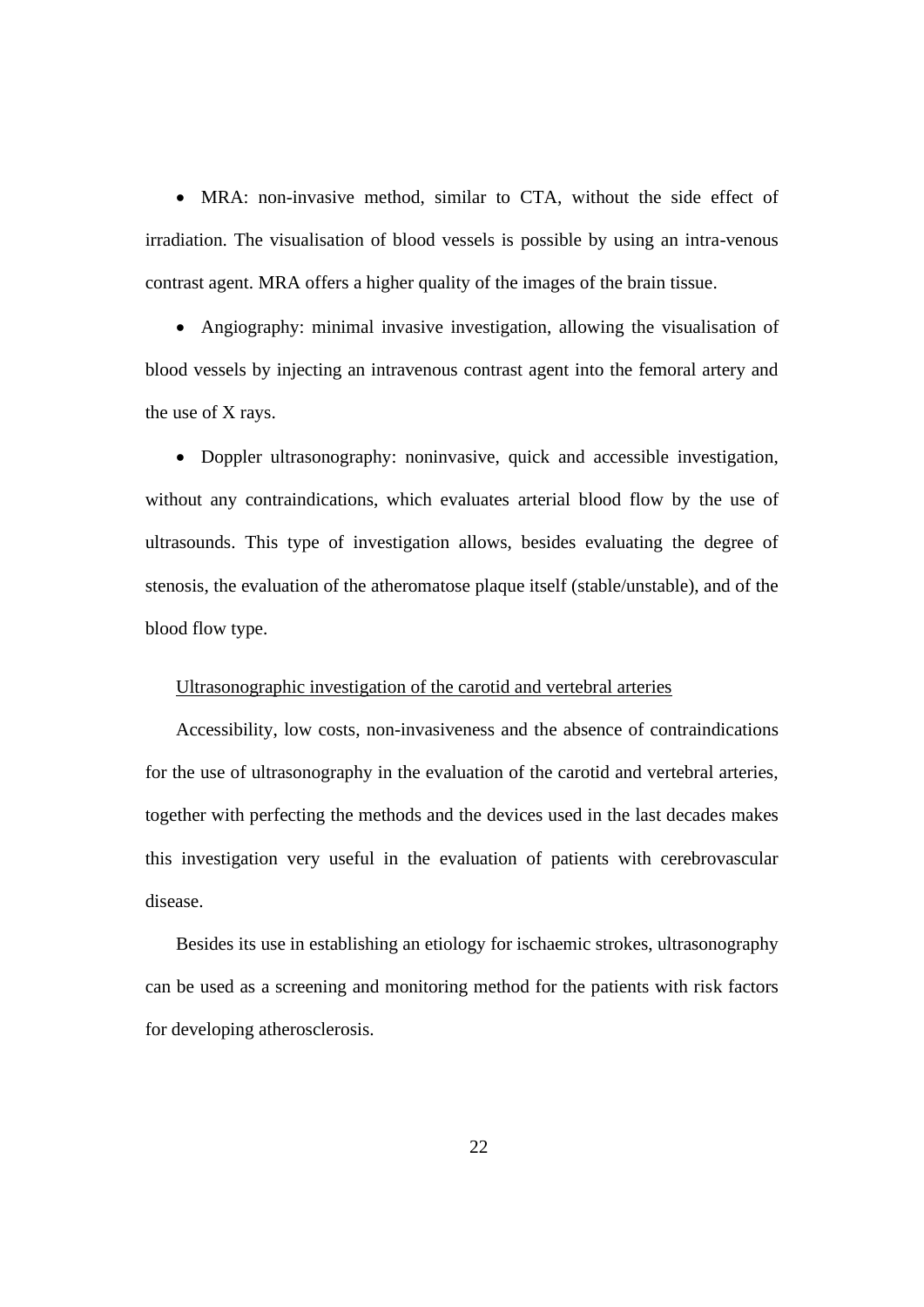• MRA: non-invasive method, similar to CTA, without the side effect of irradiation. The visualisation of blood vessels is possible by using an intra-venous contrast agent. MRA offers a higher quality of the images of the brain tissue.

• Angiography: minimal invasive investigation, allowing the visualisation of blood vessels by injecting an intravenous contrast agent into the femoral artery and the use of X rays.

• Doppler ultrasonography: noninvasive, quick and accessible investigation, without any contraindications, which evaluates arterial blood flow by the use of ultrasounds. This type of investigation allows, besides evaluating the degree of stenosis, the evaluation of the atheromatose plaque itself (stable/unstable), and of the blood flow type.

#### Ultrasonographic investigation of the carotid and vertebral arteries

Accessibility, low costs, non-invasiveness and the absence of contraindications for the use of ultrasonography in the evaluation of the carotid and vertebral arteries, together with perfecting the methods and the devices used in the last decades makes this investigation very useful in the evaluation of patients with cerebrovascular disease.

Besides its use in establishing an etiology for ischaemic strokes, ultrasonography can be used as a screening and monitoring method for the patients with risk factors for developing atherosclerosis.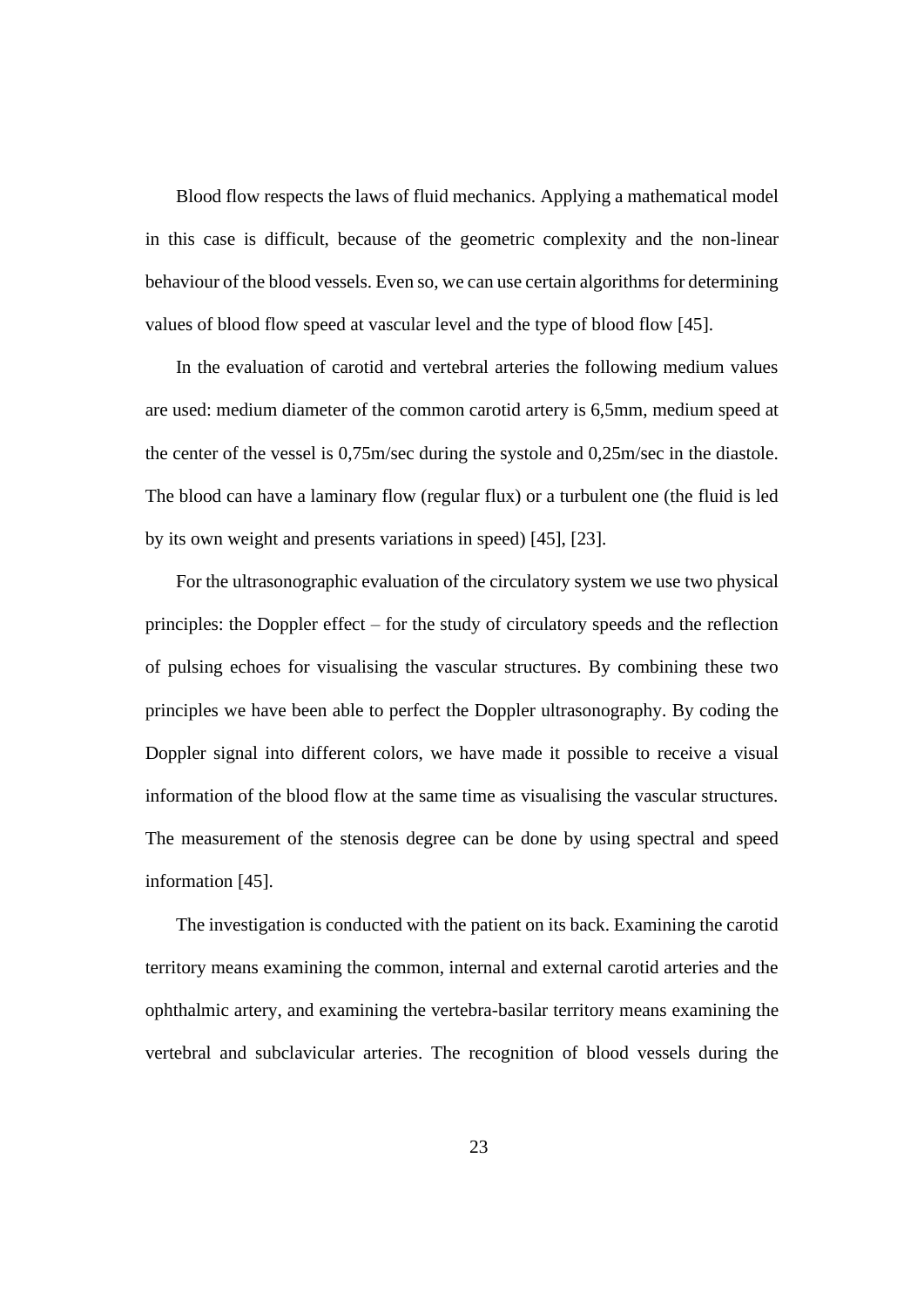Blood flow respects the laws of fluid mechanics. Applying a mathematical model in this case is difficult, because of the geometric complexity and the non-linear behaviour of the blood vessels. Even so, we can use certain algorithms for determining values of blood flow speed at vascular level and the type of blood flow [45].

In the evaluation of carotid and vertebral arteries the following medium values are used: medium diameter of the common carotid artery is 6,5mm, medium speed at the center of the vessel is 0,75m/sec during the systole and 0,25m/sec in the diastole. The blood can have a laminary flow (regular flux) or a turbulent one (the fluid is led by its own weight and presents variations in speed) [45], [23].

For the ultrasonographic evaluation of the circulatory system we use two physical principles: the Doppler effect – for the study of circulatory speeds and the reflection of pulsing echoes for visualising the vascular structures. By combining these two principles we have been able to perfect the Doppler ultrasonography. By coding the Doppler signal into different colors, we have made it possible to receive a visual information of the blood flow at the same time as visualising the vascular structures. The measurement of the stenosis degree can be done by using spectral and speed information [45].

The investigation is conducted with the patient on its back. Examining the carotid territory means examining the common, internal and external carotid arteries and the ophthalmic artery, and examining the vertebra-basilar territory means examining the vertebral and subclavicular arteries. The recognition of blood vessels during the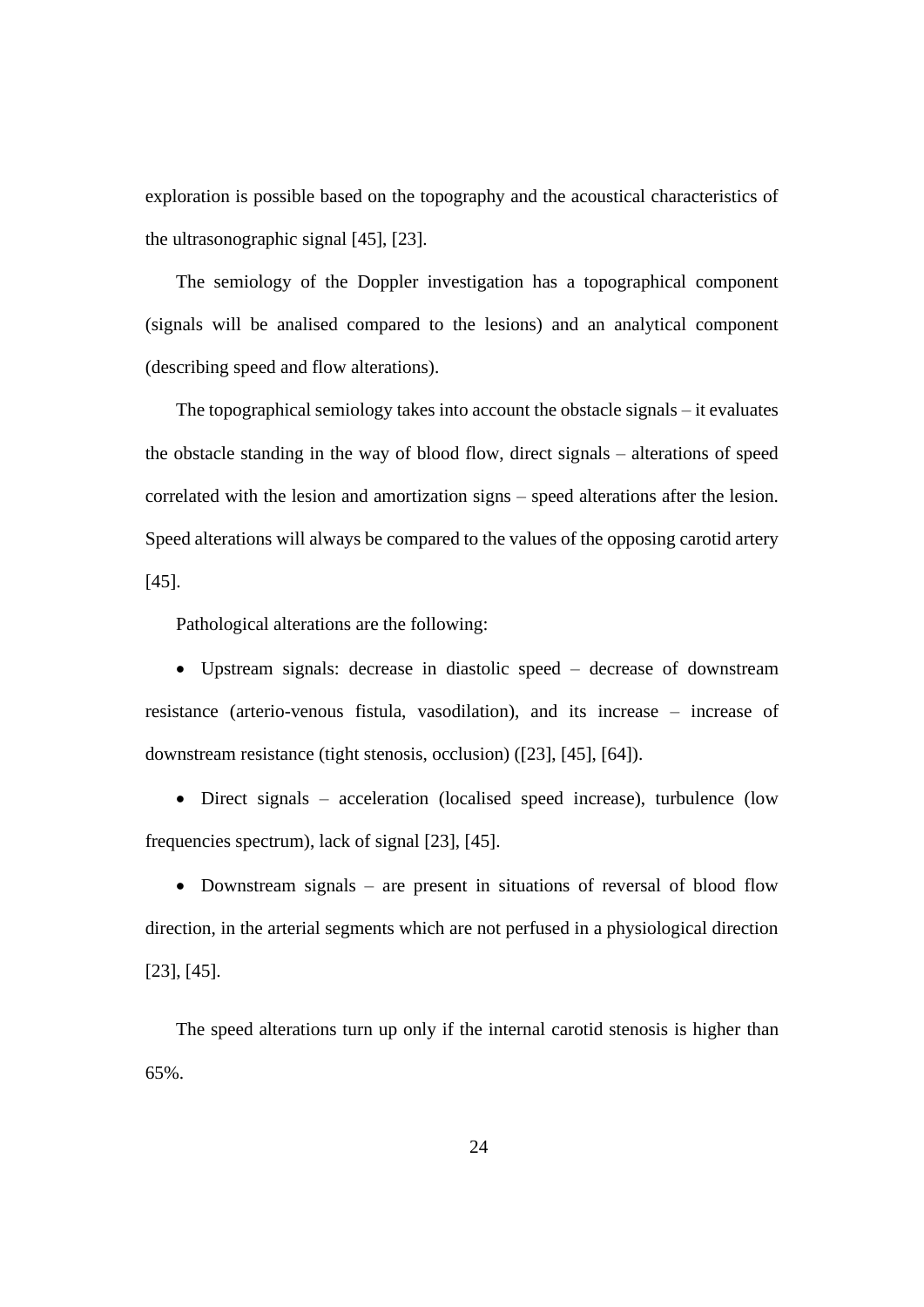exploration is possible based on the topography and the acoustical characteristics of the ultrasonographic signal [45], [23].

The semiology of the Doppler investigation has a topographical component (signals will be analised compared to the lesions) and an analytical component (describing speed and flow alterations).

The topographical semiology takes into account the obstacle signals – it evaluates the obstacle standing in the way of blood flow, direct signals – alterations of speed correlated with the lesion and amortization signs – speed alterations after the lesion. Speed alterations will always be compared to the values of the opposing carotid artery [45].

Pathological alterations are the following:

• Upstream signals: decrease in diastolic speed – decrease of downstream resistance (arterio-venous fistula, vasodilation), and its increase – increase of downstream resistance (tight stenosis, occlusion) ([23], [45], [64]).

• Direct signals – acceleration (localised speed increase), turbulence (low frequencies spectrum), lack of signal [23], [45].

• Downstream signals – are present in situations of reversal of blood flow direction, in the arterial segments which are not perfused in a physiological direction [23], [45].

The speed alterations turn up only if the internal carotid stenosis is higher than 65%.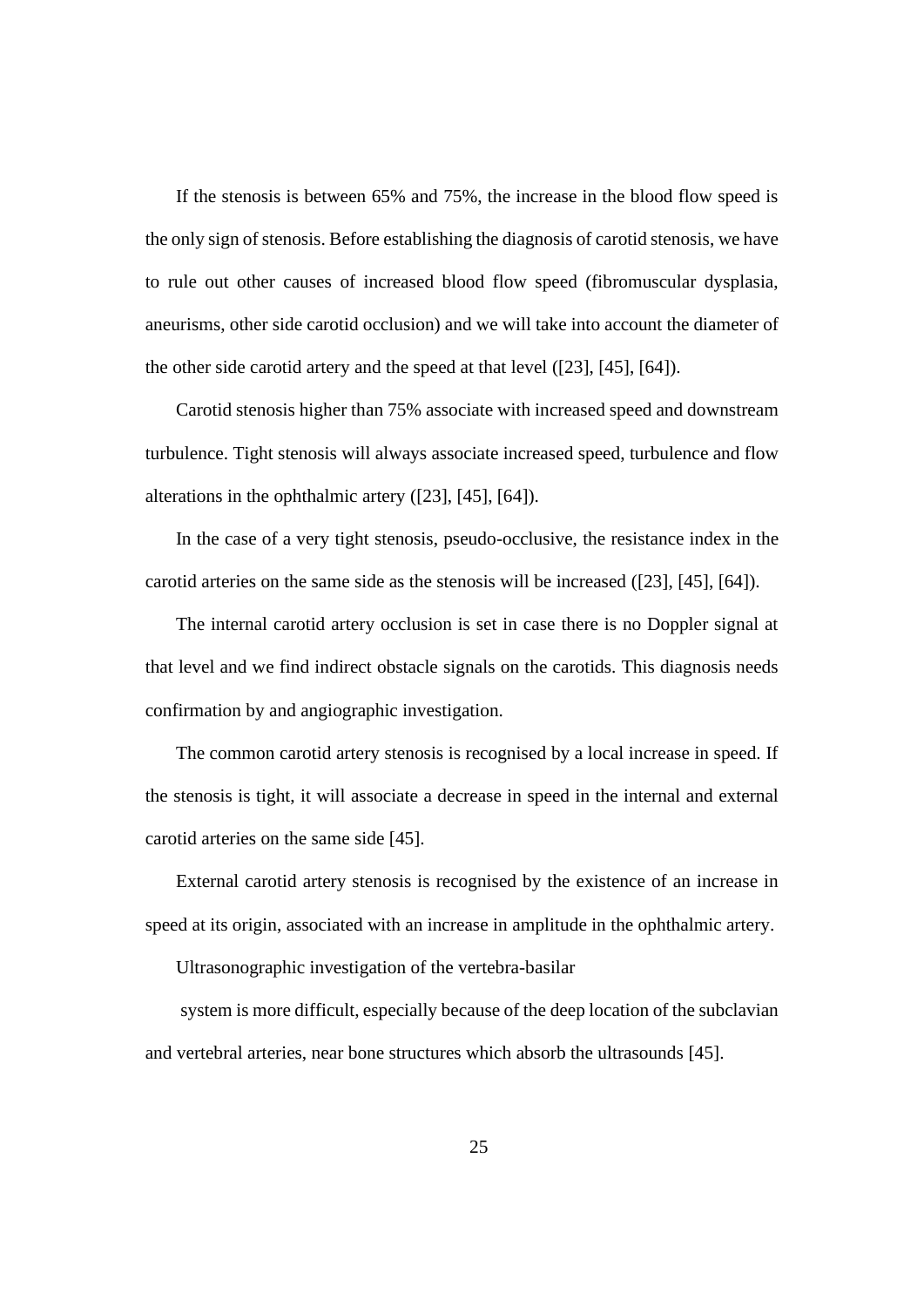If the stenosis is between 65% and 75%, the increase in the blood flow speed is the only sign of stenosis. Before establishing the diagnosis of carotid stenosis, we have to rule out other causes of increased blood flow speed (fibromuscular dysplasia, aneurisms, other side carotid occlusion) and we will take into account the diameter of the other side carotid artery and the speed at that level ([23], [45], [64]).

Carotid stenosis higher than 75% associate with increased speed and downstream turbulence. Tight stenosis will always associate increased speed, turbulence and flow alterations in the ophthalmic artery ([23], [45], [64]).

In the case of a very tight stenosis, pseudo-occlusive, the resistance index in the carotid arteries on the same side as the stenosis will be increased ([23], [45], [64]).

The internal carotid artery occlusion is set in case there is no Doppler signal at that level and we find indirect obstacle signals on the carotids. This diagnosis needs confirmation by and angiographic investigation.

The common carotid artery stenosis is recognised by a local increase in speed. If the stenosis is tight, it will associate a decrease in speed in the internal and external carotid arteries on the same side [45].

External carotid artery stenosis is recognised by the existence of an increase in speed at its origin, associated with an increase in amplitude in the ophthalmic artery.

Ultrasonographic investigation of the vertebra-basilar

system is more difficult, especially because of the deep location of the subclavian and vertebral arteries, near bone structures which absorb the ultrasounds [45].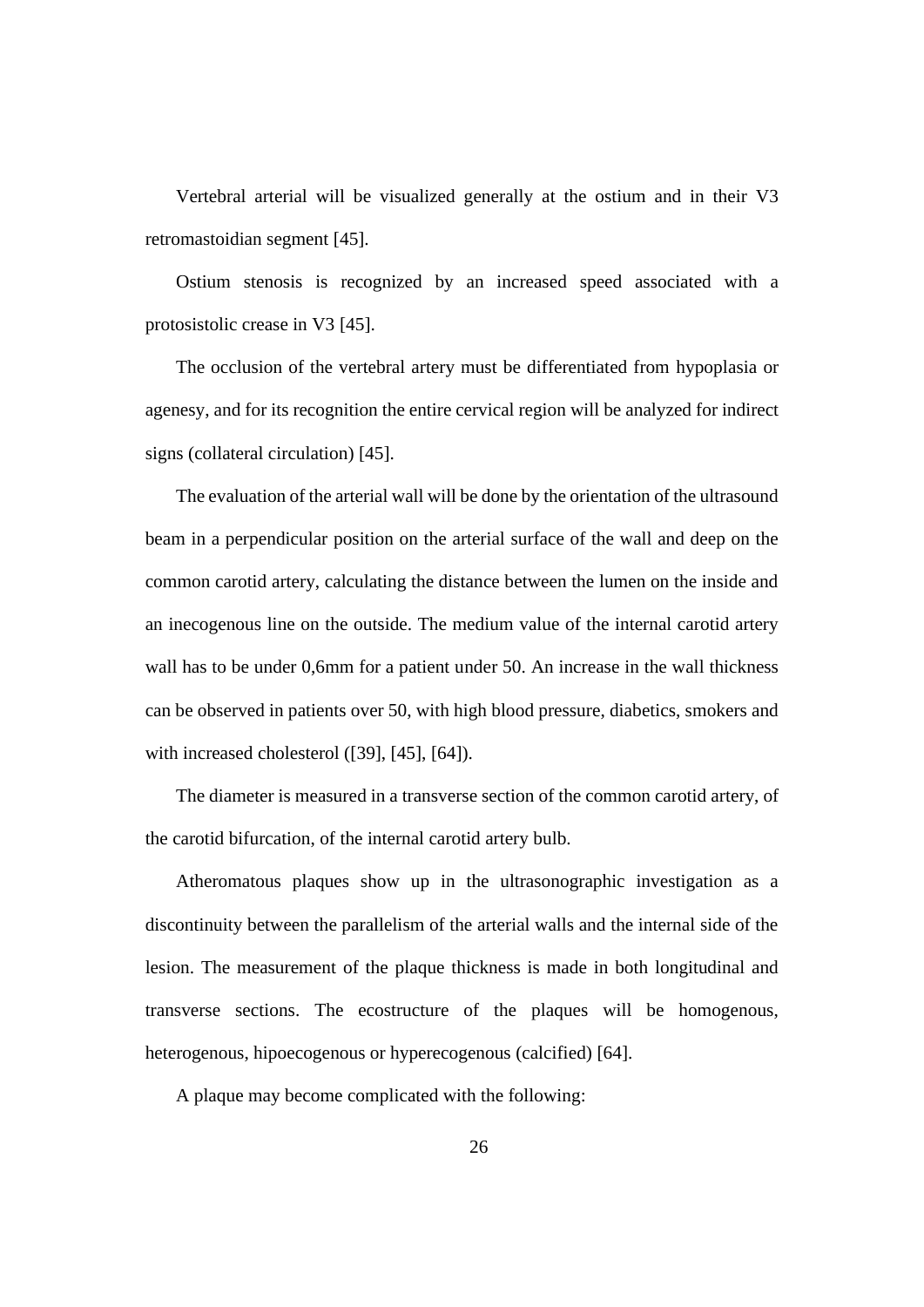Vertebral arterial will be visualized generally at the ostium and in their V3 retromastoidian segment [45].

Ostium stenosis is recognized by an increased speed associated with a protosistolic crease in V3 [45].

The occlusion of the vertebral artery must be differentiated from hypoplasia or agenesy, and for its recognition the entire cervical region will be analyzed for indirect signs (collateral circulation) [45].

The evaluation of the arterial wall will be done by the orientation of the ultrasound beam in a perpendicular position on the arterial surface of the wall and deep on the common carotid artery, calculating the distance between the lumen on the inside and an inecogenous line on the outside. The medium value of the internal carotid artery wall has to be under 0,6mm for a patient under 50. An increase in the wall thickness can be observed in patients over 50, with high blood pressure, diabetics, smokers and with increased cholesterol ([39], [45], [64]).

The diameter is measured in a transverse section of the common carotid artery, of the carotid bifurcation, of the internal carotid artery bulb.

Atheromatous plaques show up in the ultrasonographic investigation as a discontinuity between the parallelism of the arterial walls and the internal side of the lesion. The measurement of the plaque thickness is made in both longitudinal and transverse sections. The ecostructure of the plaques will be homogenous, heterogenous, hipoecogenous or hyperecogenous (calcified) [64].

A plaque may become complicated with the following: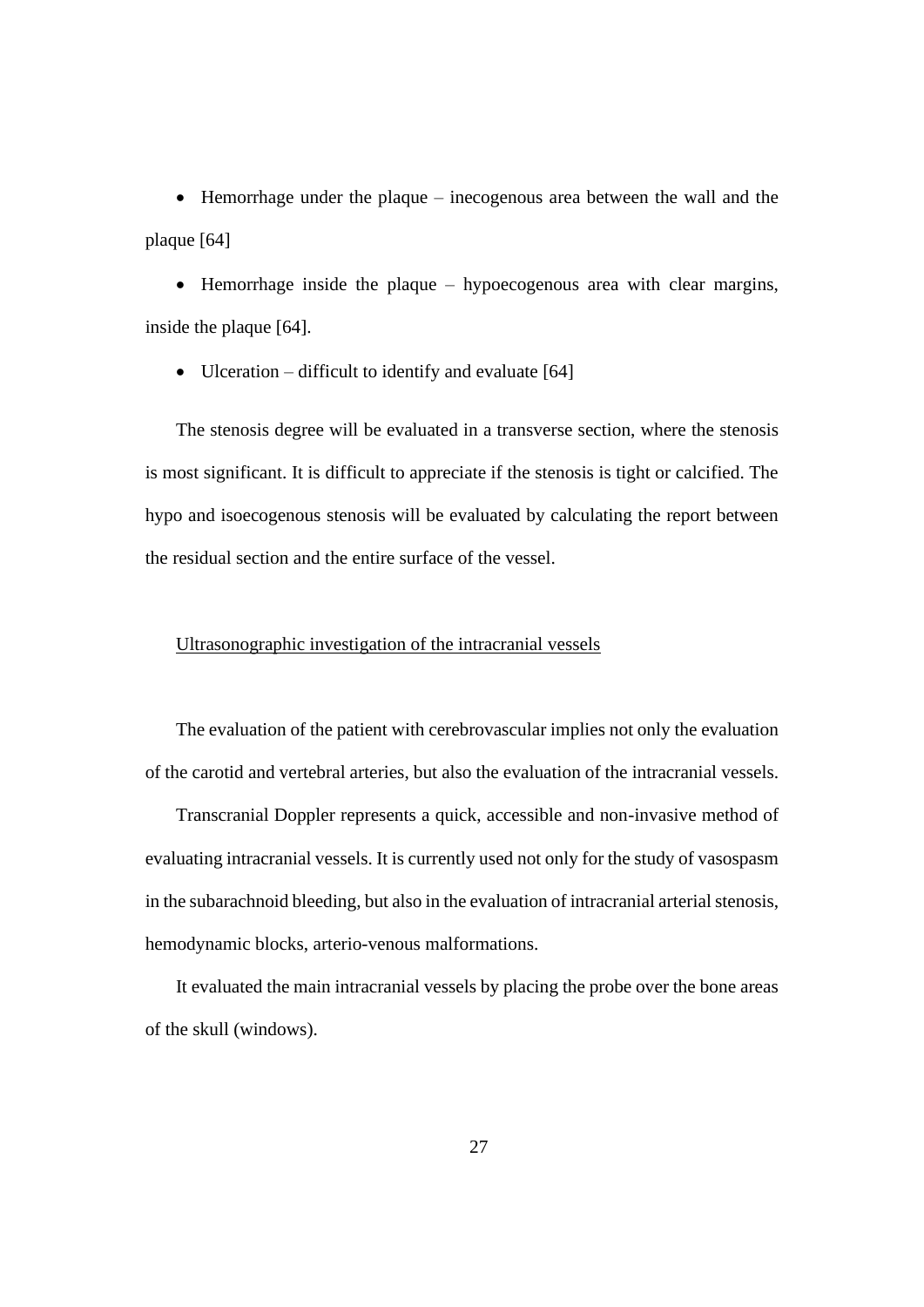• Hemorrhage under the plaque – inecogenous area between the wall and the plaque [64]

• Hemorrhage inside the plaque – hypoecogenous area with clear margins, inside the plaque [64].

• Ulceration – difficult to identify and evaluate [64]

The stenosis degree will be evaluated in a transverse section, where the stenosis is most significant. It is difficult to appreciate if the stenosis is tight or calcified. The hypo and isoecogenous stenosis will be evaluated by calculating the report between the residual section and the entire surface of the vessel.

#### Ultrasonographic investigation of the intracranial vessels

The evaluation of the patient with cerebrovascular implies not only the evaluation of the carotid and vertebral arteries, but also the evaluation of the intracranial vessels.

Transcranial Doppler represents a quick, accessible and non-invasive method of evaluating intracranial vessels. It is currently used not only for the study of vasospasm in the subarachnoid bleeding, but also in the evaluation of intracranial arterial stenosis, hemodynamic blocks, arterio-venous malformations.

It evaluated the main intracranial vessels by placing the probe over the bone areas of the skull (windows).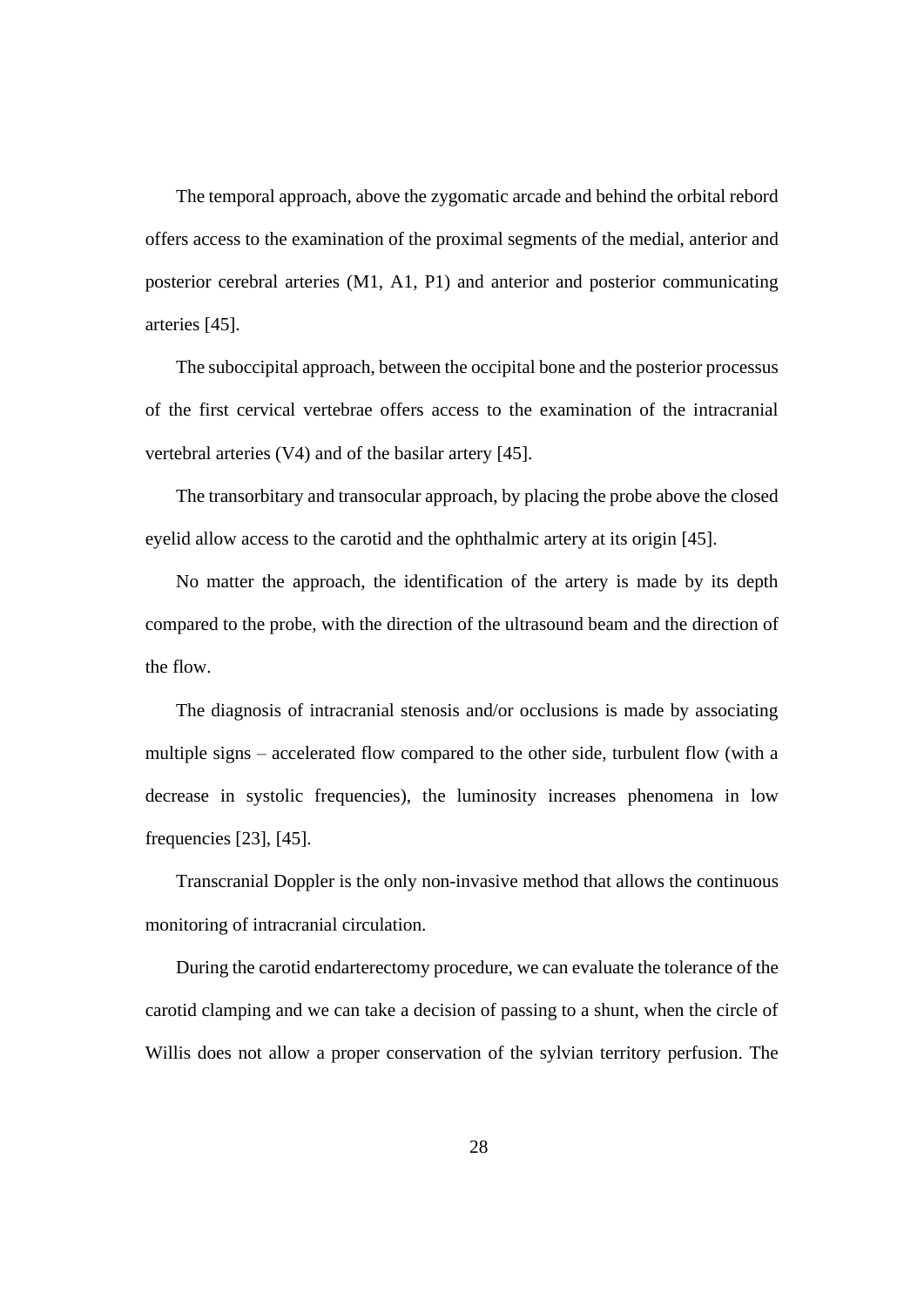The temporal approach, above the zygomatic arcade and behind the orbital rebord offers access to the examination of the proximal segments of the medial, anterior and posterior cerebral arteries (M1, A1, P1) and anterior and posterior communicating arteries [45].

The suboccipital approach, between the occipital bone and the posterior processus of the first cervical vertebrae offers access to the examination of the intracranial vertebral arteries (V4) and of the basilar artery [45].

The transorbitary and transocular approach, by placing the probe above the closed eyelid allow access to the carotid and the ophthalmic artery at its origin [45].

No matter the approach, the identification of the artery is made by its depth compared to the probe, with the direction of the ultrasound beam and the direction of the flow.

The diagnosis of intracranial stenosis and/or occlusions is made by associating multiple signs – accelerated flow compared to the other side, turbulent flow (with a decrease in systolic frequencies), the luminosity increases phenomena in low frequencies [23], [45].

Transcranial Doppler is the only non-invasive method that allows the continuous monitoring of intracranial circulation.

During the carotid endarterectomy procedure, we can evaluate the tolerance of the carotid clamping and we can take a decision of passing to a shunt, when the circle of Willis does not allow a proper conservation of the sylvian territory perfusion. The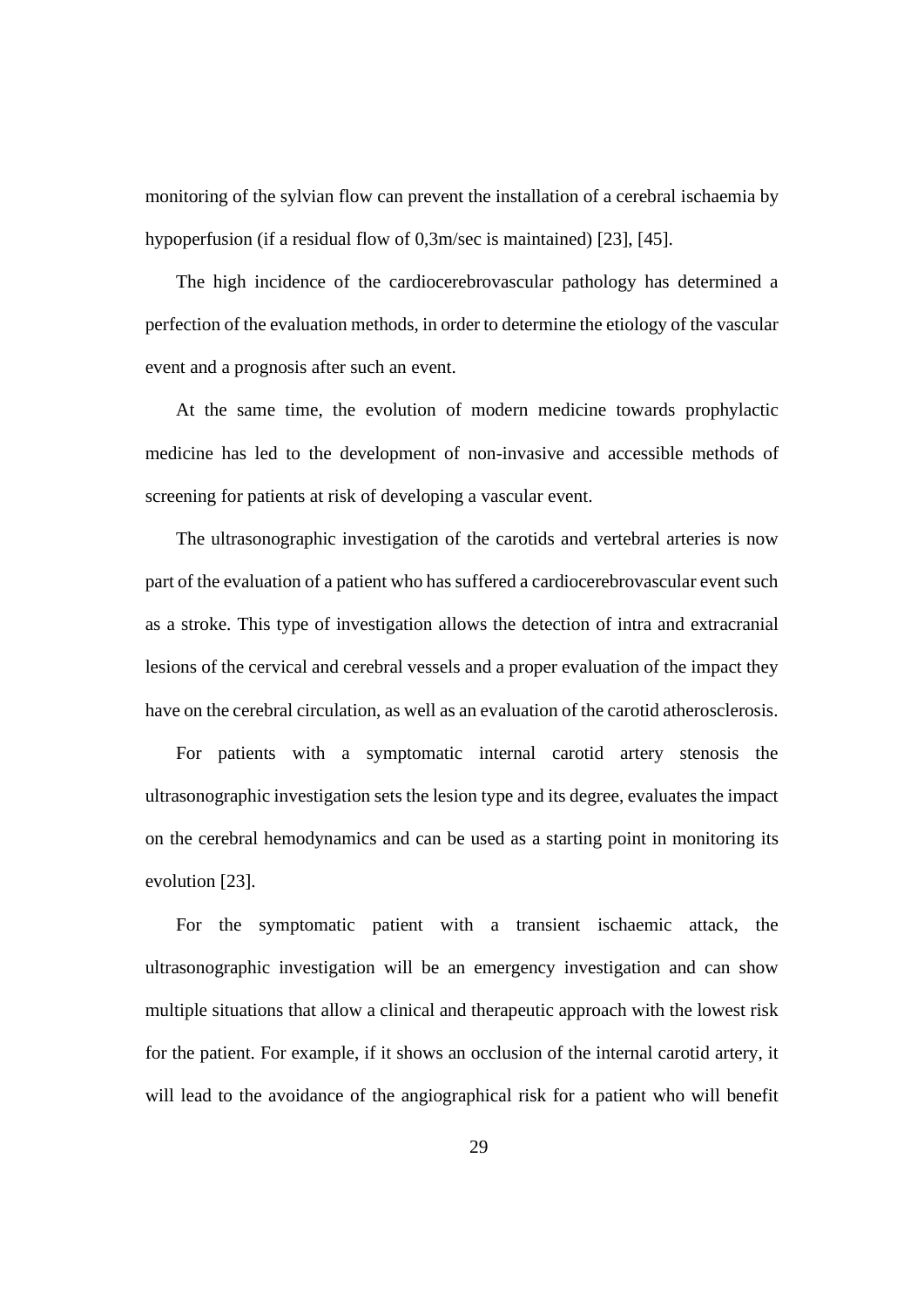monitoring of the sylvian flow can prevent the installation of a cerebral ischaemia by hypoperfusion (if a residual flow of 0,3m/sec is maintained) [23], [45].

The high incidence of the cardiocerebrovascular pathology has determined a perfection of the evaluation methods, in order to determine the etiology of the vascular event and a prognosis after such an event.

At the same time, the evolution of modern medicine towards prophylactic medicine has led to the development of non-invasive and accessible methods of screening for patients at risk of developing a vascular event.

The ultrasonographic investigation of the carotids and vertebral arteries is now part of the evaluation of a patient who has suffered a cardiocerebrovascular event such as a stroke. This type of investigation allows the detection of intra and extracranial lesions of the cervical and cerebral vessels and a proper evaluation of the impact they have on the cerebral circulation, as well as an evaluation of the carotid atherosclerosis.

For patients with a symptomatic internal carotid artery stenosis the ultrasonographic investigation sets the lesion type and its degree, evaluates the impact on the cerebral hemodynamics and can be used as a starting point in monitoring its evolution [23].

For the symptomatic patient with a transient ischaemic attack, the ultrasonographic investigation will be an emergency investigation and can show multiple situations that allow a clinical and therapeutic approach with the lowest risk for the patient. For example, if it shows an occlusion of the internal carotid artery, it will lead to the avoidance of the angiographical risk for a patient who will benefit